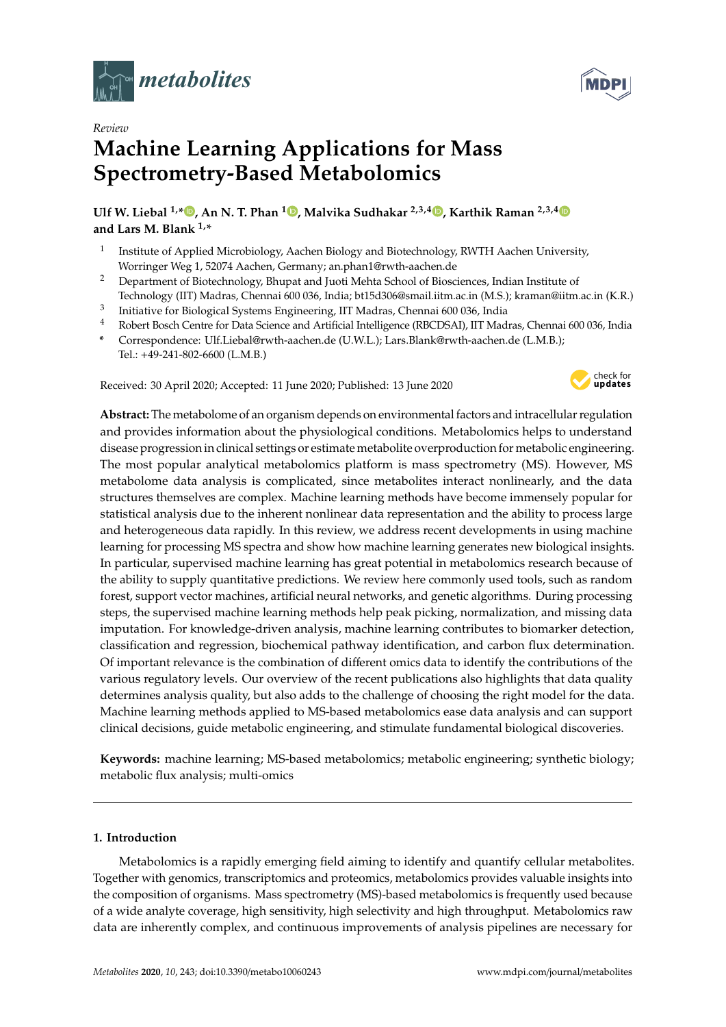

*Review*



# **Machine Learning Applications for Mass Spectrometry-Based Metabolomics**

**Ulf W. Liebal 1,\* , An N. T. Phan <sup>1</sup> , Malvika Sudhakar 2,3,4 , Karthik Raman 2,3,4 and Lars M. Blank 1,\***

- 1 Institute of Applied Microbiology, Aachen Biology and Biotechnology, RWTH Aachen University, Worringer Weg 1, 52074 Aachen, Germany; an.phan1@rwth-aachen.de
- <sup>2</sup> Department of Biotechnology, Bhupat and Juoti Mehta School of Biosciences, Indian Institute of
- Technology (IIT) Madras, Chennai 600 036, India; bt15d306@smail.iitm.ac.in (M.S.); kraman@iitm.ac.in (K.R.)
- 3 Initiative for Biological Systems Engineering, IIT Madras, Chennai 600 036, India
- <sup>4</sup> Robert Bosch Centre for Data Science and Artificial Intelligence (RBCDSAI), IIT Madras, Chennai 600 036, India
- **\*** Correspondence: Ulf.Liebal@rwth-aachen.de (U.W.L.); Lars.Blank@rwth-aachen.de (L.M.B.); Tel.: +49-241-802-6600 (L.M.B.)

Received: 30 April 2020; Accepted: 11 June 2020; Published: 13 June 2020



**Abstract:** The metabolome of an organism depends on environmental factors and intracellular regulation and provides information about the physiological conditions. Metabolomics helps to understand disease progression in clinical settings or estimate metabolite overproduction for metabolic engineering. The most popular analytical metabolomics platform is mass spectrometry (MS). However, MS metabolome data analysis is complicated, since metabolites interact nonlinearly, and the data structures themselves are complex. Machine learning methods have become immensely popular for statistical analysis due to the inherent nonlinear data representation and the ability to process large and heterogeneous data rapidly. In this review, we address recent developments in using machine learning for processing MS spectra and show how machine learning generates new biological insights. In particular, supervised machine learning has great potential in metabolomics research because of the ability to supply quantitative predictions. We review here commonly used tools, such as random forest, support vector machines, artificial neural networks, and genetic algorithms. During processing steps, the supervised machine learning methods help peak picking, normalization, and missing data imputation. For knowledge-driven analysis, machine learning contributes to biomarker detection, classification and regression, biochemical pathway identification, and carbon flux determination. Of important relevance is the combination of different omics data to identify the contributions of the various regulatory levels. Our overview of the recent publications also highlights that data quality determines analysis quality, but also adds to the challenge of choosing the right model for the data. Machine learning methods applied to MS-based metabolomics ease data analysis and can support clinical decisions, guide metabolic engineering, and stimulate fundamental biological discoveries.

**Keywords:** machine learning; MS-based metabolomics; metabolic engineering; synthetic biology; metabolic flux analysis; multi-omics

# **1. Introduction**

Metabolomics is a rapidly emerging field aiming to identify and quantify cellular metabolites. Together with genomics, transcriptomics and proteomics, metabolomics provides valuable insights into the composition of organisms. Mass spectrometry (MS)-based metabolomics is frequently used because of a wide analyte coverage, high sensitivity, high selectivity and high throughput. Metabolomics raw data are inherently complex, and continuous improvements of analysis pipelines are necessary for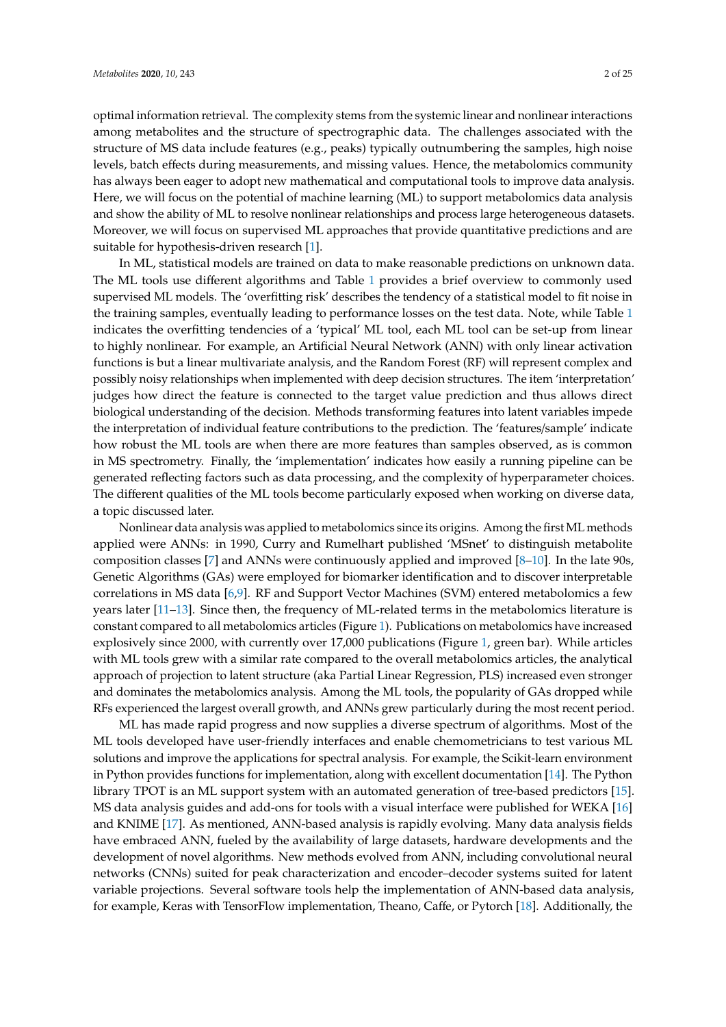optimal information retrieval. The complexity stems from the systemic linear and nonlinear interactions among metabolites and the structure of spectrographic data. The challenges associated with the structure of MS data include features (e.g., peaks) typically outnumbering the samples, high noise levels, batch effects during measurements, and missing values. Hence, the metabolomics community has always been eager to adopt new mathematical and computational tools to improve data analysis. Here, we will focus on the potential of machine learning (ML) to support metabolomics data analysis and show the ability of ML to resolve nonlinear relationships and process large heterogeneous datasets. Moreover, we will focus on supervised ML approaches that provide quantitative predictions and are suitable for hypothesis-driven research [1].

In ML, statistical models are trained on data to make reasonable predictions on unknown data. The ML tools use different algorithms and Table 1 provides a brief overview to commonly used supervised ML models. The 'overfitting risk' describes the tendency of a statistical model to fit noise in the training samples, eventually leading to performance losses on the test data. Note, while Table 1 indicates the overfitting tendencies of a 'typical' ML tool, each ML tool can be set-up from linear to highly nonlinear. For example, an Artificial Neural Network (ANN) with only linear activation functions is but a linear multivariate analysis, and the Random Forest (RF) will represent complex and possibly noisy relationships when implemented with deep decision structures. The item 'interpretation' judges how direct the feature is connected to the target value prediction and thus allows direct biological understanding of the decision. Methods transforming features into latent variables impede the interpretation of individual feature contributions to the prediction. The 'features/sample' indicate how robust the ML tools are when there are more features than samples observed, as is common in MS spectrometry. Finally, the 'implementation' indicates how easily a running pipeline can be generated reflecting factors such as data processing, and the complexity of hyperparameter choices. The different qualities of the ML tools become particularly exposed when working on diverse data, a topic discussed later.

Nonlinear data analysis was applied to metabolomics since its origins. Among the first ML methods applied were ANNs: in 1990, Curry and Rumelhart published 'MSnet' to distinguish metabolite composition classes [7] and ANNs were continuously applied and improved [8–10]. In the late 90s, Genetic Algorithms (GAs) were employed for biomarker identification and to discover interpretable correlations in MS data [6,9]. RF and Support Vector Machines (SVM) entered metabolomics a few years later [11–13]. Since then, the frequency of ML-related terms in the metabolomics literature is constant compared to all metabolomics articles (Figure 1). Publications on metabolomics have increased explosively since 2000, with currently over 17,000 publications (Figure 1, green bar). While articles with ML tools grew with a similar rate compared to the overall metabolomics articles, the analytical approach of projection to latent structure (aka Partial Linear Regression, PLS) increased even stronger and dominates the metabolomics analysis. Among the ML tools, the popularity of GAs dropped while RFs experienced the largest overall growth, and ANNs grew particularly during the most recent period.

ML has made rapid progress and now supplies a diverse spectrum of algorithms. Most of the ML tools developed have user-friendly interfaces and enable chemometricians to test various ML solutions and improve the applications for spectral analysis. For example, the Scikit-learn environment in Python provides functions for implementation, along with excellent documentation [14]. The Python library TPOT is an ML support system with an automated generation of tree-based predictors [15]. MS data analysis guides and add-ons for tools with a visual interface were published for WEKA [16] and KNIME [17]. As mentioned, ANN-based analysis is rapidly evolving. Many data analysis fields have embraced ANN, fueled by the availability of large datasets, hardware developments and the development of novel algorithms. New methods evolved from ANN, including convolutional neural networks (CNNs) suited for peak characterization and encoder–decoder systems suited for latent variable projections. Several software tools help the implementation of ANN-based data analysis, for example, Keras with TensorFlow implementation, Theano, Caffe, or Pytorch [18]. Additionally, the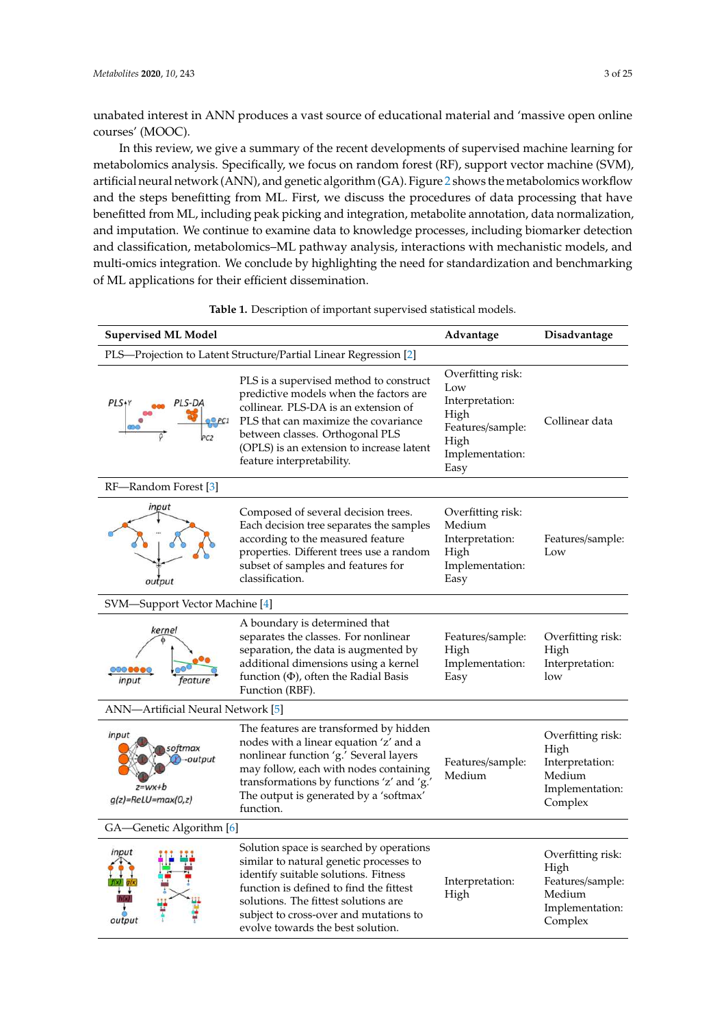unabated interest in ANN produces a vast source of educational material and 'massive open online courses' (MOOC).

In this review, we give a summary of the recent developments of supervised machine learning for metabolomics analysis. Specifically, we focus on random forest (RF), support vector machine (SVM), artificial neural network (ANN), and genetic algorithm (GA). Figure 2 shows the metabolomics workflow and the steps benefitting from ML. First, we discuss the procedures of data processing that have benefitted from ML, including peak picking and integration, metabolite annotation, data normalization, and imputation. We continue to examine data to knowledge processes, including biomarker detection and classification, metabolomics–ML pathway analysis, interactions with mechanistic models, and multi-omics integration. We conclude by highlighting the need for standardization and benchmarking of ML applications for their efficient dissemination.

| <b>Supervised ML Model</b>                                       | Advantage                                                                                                                                                                                                                                                                                     | Disadvantage                                                                                               |                                                                                       |  |  |  |  |
|------------------------------------------------------------------|-----------------------------------------------------------------------------------------------------------------------------------------------------------------------------------------------------------------------------------------------------------------------------------------------|------------------------------------------------------------------------------------------------------------|---------------------------------------------------------------------------------------|--|--|--|--|
|                                                                  | PLS-Projection to Latent Structure/Partial Linear Regression [2]                                                                                                                                                                                                                              |                                                                                                            |                                                                                       |  |  |  |  |
| PLS+Y<br>PLS-DA<br>O <sub>PC1</sub><br>PC <sub>2</sub>           | PLS is a supervised method to construct<br>predictive models when the factors are<br>collinear. PLS-DA is an extension of<br>PLS that can maximize the covariance<br>between classes. Orthogonal PLS<br>(OPLS) is an extension to increase latent<br>feature interpretability.                | Overfitting risk:<br>Low<br>Interpretation:<br>High<br>Features/sample:<br>High<br>Implementation:<br>Easy | Collinear data                                                                        |  |  |  |  |
| RF-Random Forest [3]                                             |                                                                                                                                                                                                                                                                                               |                                                                                                            |                                                                                       |  |  |  |  |
| input<br>output                                                  | Composed of several decision trees.<br>Each decision tree separates the samples<br>according to the measured feature<br>properties. Different trees use a random<br>subset of samples and features for<br>classification.                                                                     | Overfitting risk:<br>Medium<br>Interpretation:<br>High<br>Implementation:<br>Easy                          | Features/sample:<br>Low                                                               |  |  |  |  |
| SVM-Support Vector Machine [4]                                   |                                                                                                                                                                                                                                                                                               |                                                                                                            |                                                                                       |  |  |  |  |
| kernel<br>input<br>feature                                       | A boundary is determined that<br>separates the classes. For nonlinear<br>separation, the data is augmented by<br>additional dimensions using a kernel<br>function $(\Phi)$ , often the Radial Basis<br>Function (RBF).                                                                        | Features/sample:<br>High<br>Implementation:<br>Easy                                                        | Overfitting risk:<br>High<br>Interpretation:<br>low                                   |  |  |  |  |
| ANN-Artificial Neural Network [5]                                |                                                                                                                                                                                                                                                                                               |                                                                                                            |                                                                                       |  |  |  |  |
| input<br>softmax<br>-output<br>$z=wx+b$<br>$g(z)$ =ReLU=max(0,z) | The features are transformed by hidden<br>nodes with a linear equation 'z' and a<br>nonlinear function 'g.' Several layers<br>may follow, each with nodes containing<br>transformations by functions 'z' and 'g.'<br>The output is generated by a 'softmax'<br>function.                      | Features/sample:<br>Medium                                                                                 | Overfitting risk:<br>High<br>Interpretation:<br>Medium<br>Implementation:<br>Complex  |  |  |  |  |
| GA-Genetic Algorithm [6]                                         |                                                                                                                                                                                                                                                                                               |                                                                                                            |                                                                                       |  |  |  |  |
| input<br>output                                                  | Solution space is searched by operations<br>similar to natural genetic processes to<br>identify suitable solutions. Fitness<br>function is defined to find the fittest<br>solutions. The fittest solutions are<br>subject to cross-over and mutations to<br>evolve towards the best solution. | Interpretation:<br>High                                                                                    | Overfitting risk:<br>High<br>Features/sample:<br>Medium<br>Implementation:<br>Complex |  |  |  |  |

**Table 1.** Description of important supervised statistical models.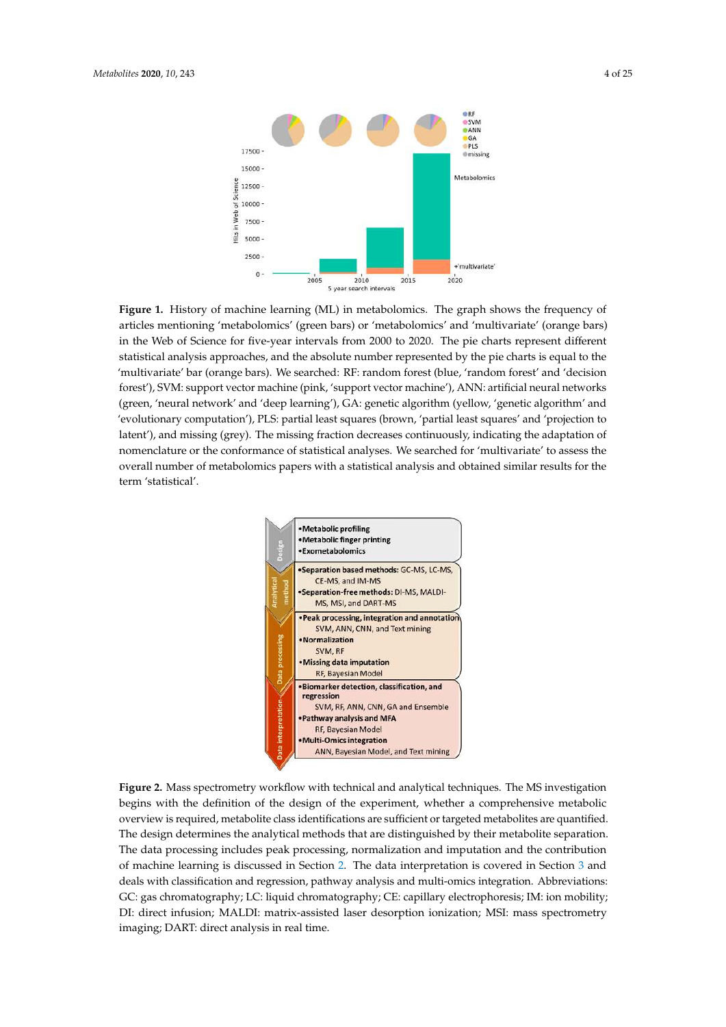

**Figure 1.** History of machine learning (ML) in metabolomics. The graph shows the frequency of articles mentioning 'metabolomics' (green bars) or 'metabolomics' and 'multivariate' (orange bars) in the Web of Science for five-year intervals from 2000 to 2020. The pie charts represent different statistical analysis approaches, and the absolute number represented by the pie charts is equal to the 'multivariate' bar (orange bars). We searched: RF: random forest (blue, 'random forest' and 'decision forest'), SVM: support vector machine (pink, 'support vector machine'), ANN: artificial neural networks (green, 'neural network' and 'deep learning'), GA: genetic algorithm (yellow, 'genetic algorithm' and 'evolutionary computation'), PLS: partial least squares (brown, 'partial least squares' and 'projection to latent'), and missing (grey). The missing fraction decreases continuously, indicating the adaptation of nomenclature or the conformance of statistical analyses. We searched for 'multivariate' to assess the overall number of metabolomics papers with a statistical analysis and obtained similar results for the term 'statistical'.



**Figure 2.** Mass spectrometry workflow with technical and analytical techniques. The MS investigation begins with the definition of the design of the experiment, whether a comprehensive metabolic overview is required, metabolite class identifications are sufficient or targeted metabolites are quantified. The design determines the analytical methods that are distinguished by their metabolite separation. The data processing includes peak processing, normalization and imputation and the contribution of machine learning is discussed in Section 2. The data interpretation is covered in Section 3 and deals with classification and regression, pathway analysis and multi-omics integration. Abbreviations: GC: gas chromatography; LC: liquid chromatography; CE: capillary electrophoresis; IM: ion mobility; DI: direct infusion; MALDI: matrix-assisted laser desorption ionization; MSI: mass spectrometry imaging; DART: direct analysis in real time.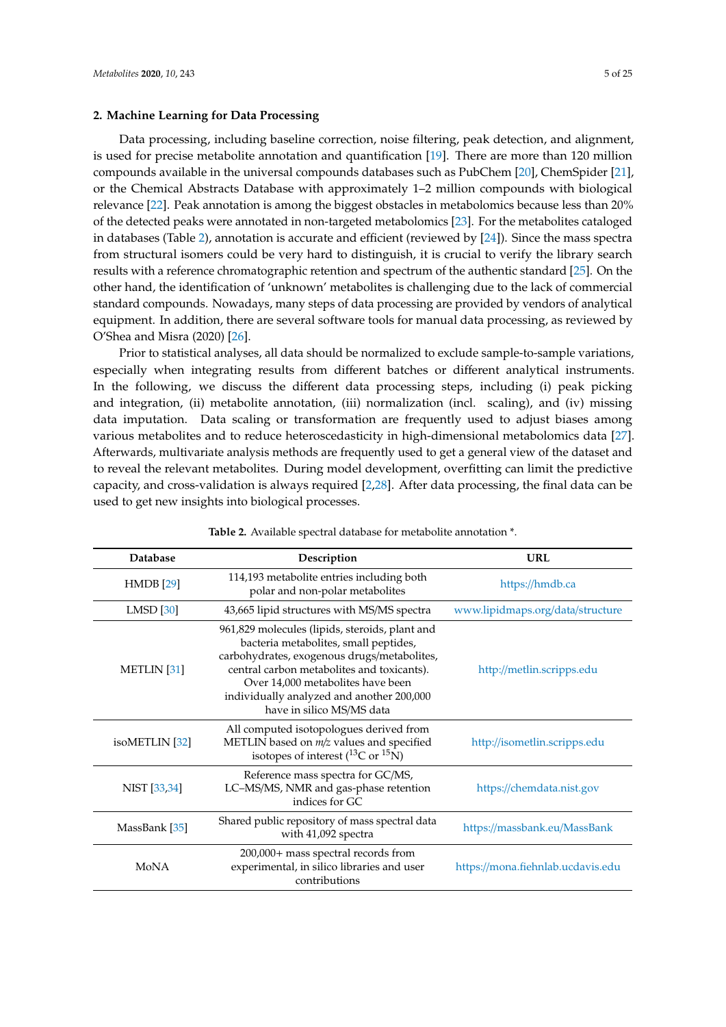## **2. Machine Learning for Data Processing**

Data processing, including baseline correction, noise filtering, peak detection, and alignment, is used for precise metabolite annotation and quantification [19]. There are more than 120 million compounds available in the universal compounds databases such as PubChem [20], ChemSpider [21], or the Chemical Abstracts Database with approximately 1–2 million compounds with biological relevance [22]. Peak annotation is among the biggest obstacles in metabolomics because less than 20% of the detected peaks were annotated in non-targeted metabolomics [23]. For the metabolites cataloged in databases (Table 2), annotation is accurate and efficient (reviewed by [24]). Since the mass spectra from structural isomers could be very hard to distinguish, it is crucial to verify the library search results with a reference chromatographic retention and spectrum of the authentic standard [25]. On the other hand, the identification of 'unknown' metabolites is challenging due to the lack of commercial standard compounds. Nowadays, many steps of data processing are provided by vendors of analytical equipment. In addition, there are several software tools for manual data processing, as reviewed by O'Shea and Misra (2020) [26].

Prior to statistical analyses, all data should be normalized to exclude sample-to-sample variations, especially when integrating results from different batches or different analytical instruments. In the following, we discuss the different data processing steps, including (i) peak picking and integration, (ii) metabolite annotation, (iii) normalization (incl. scaling), and (iv) missing data imputation. Data scaling or transformation are frequently used to adjust biases among various metabolites and to reduce heteroscedasticity in high-dimensional metabolomics data [27]. Afterwards, multivariate analysis methods are frequently used to get a general view of the dataset and to reveal the relevant metabolites. During model development, overfitting can limit the predictive capacity, and cross-validation is always required [2,28]. After data processing, the final data can be used to get new insights into biological processes.

| <b>Database</b>           | Description                                                                                                                                                                                                                                                                                         | URL                               |
|---------------------------|-----------------------------------------------------------------------------------------------------------------------------------------------------------------------------------------------------------------------------------------------------------------------------------------------------|-----------------------------------|
| <b>HMDB</b> [29]          | 114,193 metabolite entries including both<br>polar and non-polar metabolites                                                                                                                                                                                                                        | https://hmdb.ca                   |
| $LMSD$ [30]               | 43,665 lipid structures with MS/MS spectra                                                                                                                                                                                                                                                          | www.lipidmaps.org/data/structure  |
| <b>METLIN</b> [31]        | 961,829 molecules (lipids, steroids, plant and<br>bacteria metabolites, small peptides,<br>carbohydrates, exogenous drugs/metabolites,<br>central carbon metabolites and toxicants).<br>Over 14,000 metabolites have been<br>individually analyzed and another 200,000<br>have in silico MS/MS data | http://metlin.scripps.edu         |
| isoMETLIN <sup>[32]</sup> | All computed isotopologues derived from<br>METLIN based on m/z values and specified<br>isotopes of interest ( ${}^{13}$ C or ${}^{15}$ N)                                                                                                                                                           | http://isometlin.scripps.edu      |
| NIST [33,34]              | Reference mass spectra for GC/MS,<br>LC-MS/MS, NMR and gas-phase retention<br>indices for GC                                                                                                                                                                                                        | https://chemdata.nist.gov         |
| MassBank [35]             | Shared public repository of mass spectral data<br>with 41,092 spectra                                                                                                                                                                                                                               | https://massbank.eu/MassBank      |
| MoNA                      | 200,000+ mass spectral records from<br>experimental, in silico libraries and user<br>contributions                                                                                                                                                                                                  | https://mona.fiehnlab.ucdavis.edu |

**Table 2.** Available spectral database for metabolite annotation \*.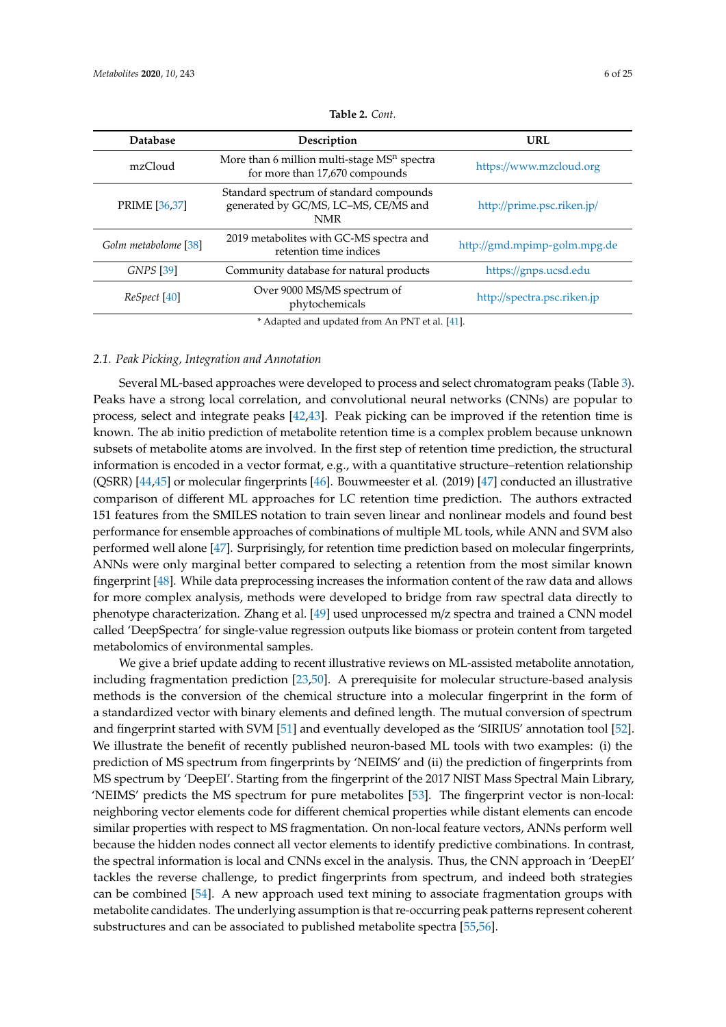| <b>Database</b>      | Description                                                                                   | URL                          |
|----------------------|-----------------------------------------------------------------------------------------------|------------------------------|
| mzCloud              | More than 6 million multi-stage $MSn$ spectra<br>for more than 17,670 compounds               | https://www.mzcloud.org      |
| PRIME [36,37]        | Standard spectrum of standard compounds<br>generated by GC/MS, LC-MS, CE/MS and<br><b>NMR</b> | http://prime.psc.riken.jp/   |
| Golm metabolome [38] | 2019 metabolites with GC-MS spectra and<br>retention time indices                             | http://gmd.mpimp-golm.mpg.de |
| GNPS [39]            | Community database for natural products                                                       | https://gnps.ucsd.edu        |
| ReSpect [40]         | Over 9000 MS/MS spectrum of<br>phytochemicals                                                 | http://spectra.psc.riken.jp  |
|                      | $*$ Adopted and undeted from Ap DNT et al. [41]                                               |                              |

| Table 2. Cont. |  |  |
|----------------|--|--|
|----------------|--|--|

Adapted and updated from An PNT et al. [41].

## *2.1. Peak Picking, Integration and Annotation*

Several ML-based approaches were developed to process and select chromatogram peaks (Table 3). Peaks have a strong local correlation, and convolutional neural networks (CNNs) are popular to process, select and integrate peaks [42,43]. Peak picking can be improved if the retention time is known. The ab initio prediction of metabolite retention time is a complex problem because unknown subsets of metabolite atoms are involved. In the first step of retention time prediction, the structural information is encoded in a vector format, e.g., with a quantitative structure–retention relationship (QSRR) [44,45] or molecular fingerprints [46]. Bouwmeester et al. (2019) [47] conducted an illustrative comparison of different ML approaches for LC retention time prediction. The authors extracted 151 features from the SMILES notation to train seven linear and nonlinear models and found best performance for ensemble approaches of combinations of multiple ML tools, while ANN and SVM also performed well alone [47]. Surprisingly, for retention time prediction based on molecular fingerprints, ANNs were only marginal better compared to selecting a retention from the most similar known fingerprint [48]. While data preprocessing increases the information content of the raw data and allows for more complex analysis, methods were developed to bridge from raw spectral data directly to phenotype characterization. Zhang et al. [49] used unprocessed m/z spectra and trained a CNN model called 'DeepSpectra' for single-value regression outputs like biomass or protein content from targeted metabolomics of environmental samples.

We give a brief update adding to recent illustrative reviews on ML-assisted metabolite annotation, including fragmentation prediction [23,50]. A prerequisite for molecular structure-based analysis methods is the conversion of the chemical structure into a molecular fingerprint in the form of a standardized vector with binary elements and defined length. The mutual conversion of spectrum and fingerprint started with SVM [51] and eventually developed as the 'SIRIUS' annotation tool [52]. We illustrate the benefit of recently published neuron-based ML tools with two examples: (i) the prediction of MS spectrum from fingerprints by 'NEIMS' and (ii) the prediction of fingerprints from MS spectrum by 'DeepEI'. Starting from the fingerprint of the 2017 NIST Mass Spectral Main Library, 'NEIMS' predicts the MS spectrum for pure metabolites [53]. The fingerprint vector is non-local: neighboring vector elements code for different chemical properties while distant elements can encode similar properties with respect to MS fragmentation. On non-local feature vectors, ANNs perform well because the hidden nodes connect all vector elements to identify predictive combinations. In contrast, the spectral information is local and CNNs excel in the analysis. Thus, the CNN approach in 'DeepEI' tackles the reverse challenge, to predict fingerprints from spectrum, and indeed both strategies can be combined [54]. A new approach used text mining to associate fragmentation groups with metabolite candidates. The underlying assumption is that re-occurring peak patterns represent coherent substructures and can be associated to published metabolite spectra [55,56].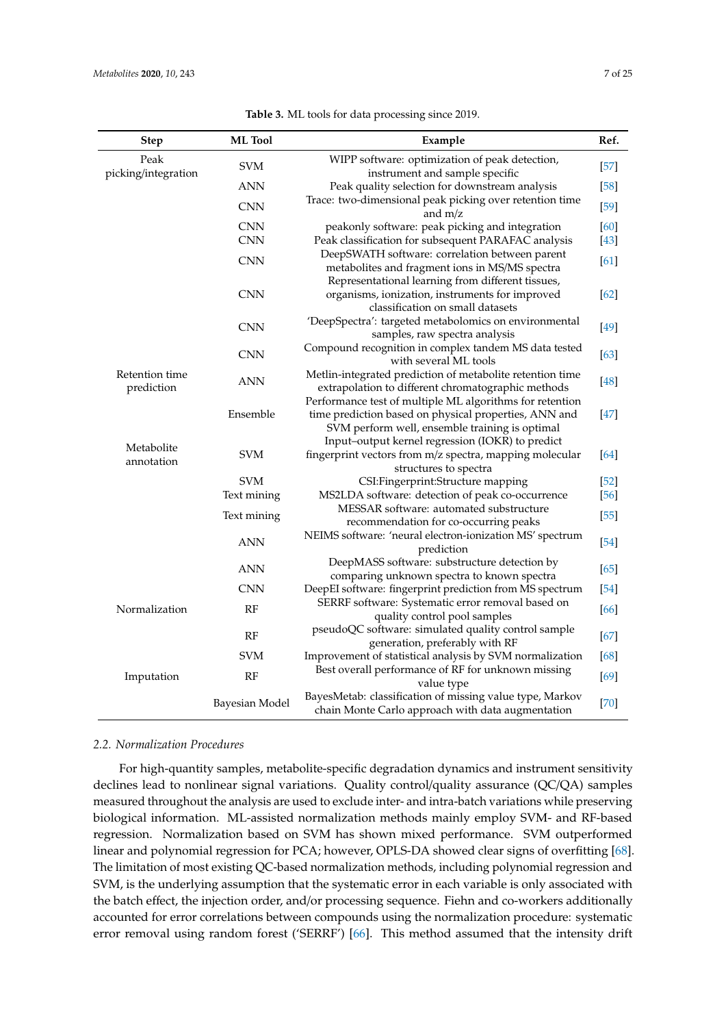| <b>Step</b>                  | <b>ML</b> Tool | Example                                                                                                                                                             | Ref.   |  |  |  |  |
|------------------------------|----------------|---------------------------------------------------------------------------------------------------------------------------------------------------------------------|--------|--|--|--|--|
| Peak                         | <b>SVM</b>     | WIPP software: optimization of peak detection,                                                                                                                      | $[57]$ |  |  |  |  |
| picking/integration          |                | instrument and sample specific                                                                                                                                      |        |  |  |  |  |
|                              | <b>ANN</b>     | Peak quality selection for downstream analysis                                                                                                                      | $[58]$ |  |  |  |  |
|                              | <b>CNN</b>     | Trace: two-dimensional peak picking over retention time<br>and $m/z$                                                                                                | $[59]$ |  |  |  |  |
|                              | <b>CNN</b>     | peakonly software: peak picking and integration                                                                                                                     | [60]   |  |  |  |  |
|                              | <b>CNN</b>     | Peak classification for subsequent PARAFAC analysis                                                                                                                 | $[43]$ |  |  |  |  |
|                              | <b>CNN</b>     | DeepSWATH software: correlation between parent<br>metabolites and fragment ions in MS/MS spectra                                                                    | [61]   |  |  |  |  |
|                              | <b>CNN</b>     | Representational learning from different tissues,<br>organisms, ionization, instruments for improved<br>classification on small datasets                            | $[62]$ |  |  |  |  |
|                              | <b>CNN</b>     | 'DeepSpectra': targeted metabolomics on environmental<br>samples, raw spectra analysis                                                                              | $[49]$ |  |  |  |  |
|                              | <b>CNN</b>     | Compound recognition in complex tandem MS data tested<br>with several ML tools                                                                                      | $[63]$ |  |  |  |  |
| Retention time<br>prediction | <b>ANN</b>     | Metlin-integrated prediction of metabolite retention time<br>extrapolation to different chromatographic methods                                                     | [48]   |  |  |  |  |
|                              | Ensemble       | Performance test of multiple ML algorithms for retention<br>time prediction based on physical properties, ANN and<br>SVM perform well, ensemble training is optimal | $[47]$ |  |  |  |  |
| Metabolite<br>annotation     | <b>SVM</b>     | Input-output kernel regression (IOKR) to predict<br>fingerprint vectors from m/z spectra, mapping molecular                                                         | [64]   |  |  |  |  |
|                              | <b>SVM</b>     | structures to spectra<br>CSI:Fingerprint:Structure mapping                                                                                                          | $[52]$ |  |  |  |  |
|                              | Text mining    | MS2LDA software: detection of peak co-occurrence                                                                                                                    | $[56]$ |  |  |  |  |
|                              | Text mining    | MESSAR software: automated substructure<br>recommendation for co-occurring peaks                                                                                    | $[55]$ |  |  |  |  |
|                              | <b>ANN</b>     | NEIMS software: 'neural electron-ionization MS' spectrum<br>prediction                                                                                              | $[54]$ |  |  |  |  |
|                              | <b>ANN</b>     | DeepMASS software: substructure detection by<br>comparing unknown spectra to known spectra                                                                          | [65]   |  |  |  |  |
|                              | <b>CNN</b>     | DeepEI software: fingerprint prediction from MS spectrum                                                                                                            | $[54]$ |  |  |  |  |
| Normalization                | RF             | SERRF software: Systematic error removal based on<br>quality control pool samples                                                                                   | [66]   |  |  |  |  |
|                              | RF             | pseudoQC software: simulated quality control sample<br>generation, preferably with RF                                                                               | $[67]$ |  |  |  |  |
|                              | <b>SVM</b>     | Improvement of statistical analysis by SVM normalization                                                                                                            | [68]   |  |  |  |  |
| Imputation                   | RF             | Best overall performance of RF for unknown missing<br>value type                                                                                                    | $[69]$ |  |  |  |  |
|                              | Bayesian Model | BayesMetab: classification of missing value type, Markov<br>chain Monte Carlo approach with data augmentation                                                       | $[70]$ |  |  |  |  |

**Table 3.** ML tools for data processing since 2019.

## *2.2. Normalization Procedures*

For high-quantity samples, metabolite-specific degradation dynamics and instrument sensitivity declines lead to nonlinear signal variations. Quality control/quality assurance (QC/QA) samples measured throughout the analysis are used to exclude inter- and intra-batch variations while preserving biological information. ML-assisted normalization methods mainly employ SVM- and RF-based regression. Normalization based on SVM has shown mixed performance. SVM outperformed linear and polynomial regression for PCA; however, OPLS-DA showed clear signs of overfitting [68]. The limitation of most existing QC-based normalization methods, including polynomial regression and SVM, is the underlying assumption that the systematic error in each variable is only associated with the batch effect, the injection order, and/or processing sequence. Fiehn and co-workers additionally accounted for error correlations between compounds using the normalization procedure: systematic error removal using random forest ('SERRF') [66]. This method assumed that the intensity drift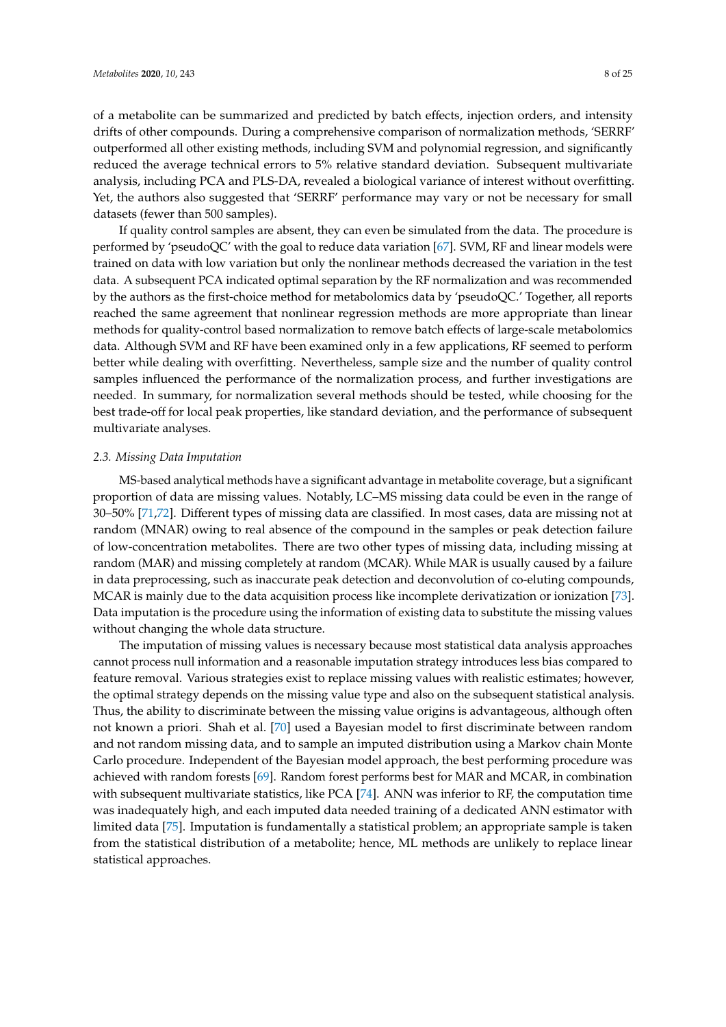of a metabolite can be summarized and predicted by batch effects, injection orders, and intensity drifts of other compounds. During a comprehensive comparison of normalization methods, 'SERRF' outperformed all other existing methods, including SVM and polynomial regression, and significantly reduced the average technical errors to 5% relative standard deviation. Subsequent multivariate analysis, including PCA and PLS-DA, revealed a biological variance of interest without overfitting. Yet, the authors also suggested that 'SERRF' performance may vary or not be necessary for small datasets (fewer than 500 samples).

If quality control samples are absent, they can even be simulated from the data. The procedure is performed by 'pseudoQC' with the goal to reduce data variation [67]. SVM, RF and linear models were trained on data with low variation but only the nonlinear methods decreased the variation in the test data. A subsequent PCA indicated optimal separation by the RF normalization and was recommended by the authors as the first-choice method for metabolomics data by 'pseudoQC.' Together, all reports reached the same agreement that nonlinear regression methods are more appropriate than linear methods for quality-control based normalization to remove batch effects of large-scale metabolomics data. Although SVM and RF have been examined only in a few applications, RF seemed to perform better while dealing with overfitting. Nevertheless, sample size and the number of quality control samples influenced the performance of the normalization process, and further investigations are needed. In summary, for normalization several methods should be tested, while choosing for the best trade-off for local peak properties, like standard deviation, and the performance of subsequent multivariate analyses.

#### *2.3. Missing Data Imputation*

MS-based analytical methods have a significant advantage in metabolite coverage, but a significant proportion of data are missing values. Notably, LC–MS missing data could be even in the range of 30–50% [71,72]. Different types of missing data are classified. In most cases, data are missing not at random (MNAR) owing to real absence of the compound in the samples or peak detection failure of low-concentration metabolites. There are two other types of missing data, including missing at random (MAR) and missing completely at random (MCAR). While MAR is usually caused by a failure in data preprocessing, such as inaccurate peak detection and deconvolution of co-eluting compounds, MCAR is mainly due to the data acquisition process like incomplete derivatization or ionization [73]. Data imputation is the procedure using the information of existing data to substitute the missing values without changing the whole data structure.

The imputation of missing values is necessary because most statistical data analysis approaches cannot process null information and a reasonable imputation strategy introduces less bias compared to feature removal. Various strategies exist to replace missing values with realistic estimates; however, the optimal strategy depends on the missing value type and also on the subsequent statistical analysis. Thus, the ability to discriminate between the missing value origins is advantageous, although often not known a priori. Shah et al. [70] used a Bayesian model to first discriminate between random and not random missing data, and to sample an imputed distribution using a Markov chain Monte Carlo procedure. Independent of the Bayesian model approach, the best performing procedure was achieved with random forests [69]. Random forest performs best for MAR and MCAR, in combination with subsequent multivariate statistics, like PCA [74]. ANN was inferior to RF, the computation time was inadequately high, and each imputed data needed training of a dedicated ANN estimator with limited data [75]. Imputation is fundamentally a statistical problem; an appropriate sample is taken from the statistical distribution of a metabolite; hence, ML methods are unlikely to replace linear statistical approaches.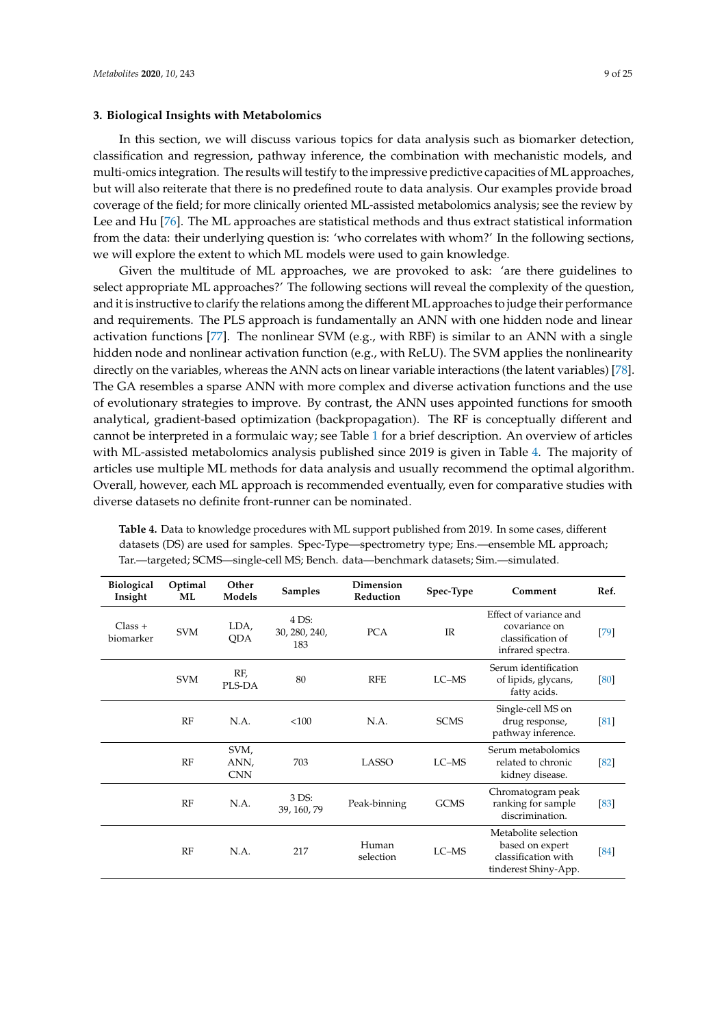## **3. Biological Insights with Metabolomics**

In this section, we will discuss various topics for data analysis such as biomarker detection, classification and regression, pathway inference, the combination with mechanistic models, and multi-omics integration. The results will testify to the impressive predictive capacities of ML approaches, but will also reiterate that there is no predefined route to data analysis. Our examples provide broad coverage of the field; for more clinically oriented ML-assisted metabolomics analysis; see the review by Lee and Hu [76]. The ML approaches are statistical methods and thus extract statistical information from the data: their underlying question is: 'who correlates with whom?' In the following sections, we will explore the extent to which ML models were used to gain knowledge.

Given the multitude of ML approaches, we are provoked to ask: 'are there guidelines to select appropriate ML approaches?' The following sections will reveal the complexity of the question, and it is instructive to clarify the relations among the different ML approaches to judge their performance and requirements. The PLS approach is fundamentally an ANN with one hidden node and linear activation functions [77]. The nonlinear SVM (e.g., with RBF) is similar to an ANN with a single hidden node and nonlinear activation function (e.g., with ReLU). The SVM applies the nonlinearity directly on the variables, whereas the ANN acts on linear variable interactions (the latent variables) [78]. The GA resembles a sparse ANN with more complex and diverse activation functions and the use of evolutionary strategies to improve. By contrast, the ANN uses appointed functions for smooth analytical, gradient-based optimization (backpropagation). The RF is conceptually different and cannot be interpreted in a formulaic way; see Table 1 for a brief description. An overview of articles with ML-assisted metabolomics analysis published since 2019 is given in Table 4. The majority of articles use multiple ML methods for data analysis and usually recommend the optimal algorithm. Overall, however, each ML approach is recommended eventually, even for comparative studies with diverse datasets no definite front-runner can be nominated.

| <b>Biological</b><br>Insight | Optimal<br>ML | Other<br>Models            | <b>Samples</b>                | Dimension<br>Reduction | Spec-Type                                                                                       | Comment                                                     | Ref.   |
|------------------------------|---------------|----------------------------|-------------------------------|------------------------|-------------------------------------------------------------------------------------------------|-------------------------------------------------------------|--------|
| $Class +$<br>biomarker       | <b>SVM</b>    | LDA,<br><b>ODA</b>         | 4 DS:<br>30, 280, 240,<br>183 | <b>PCA</b>             | Effect of variance and<br>covariance on<br>IR<br>classification of<br>infrared spectra.         |                                                             | $[79]$ |
|                              | <b>SVM</b>    | RF,<br>PLS-DA              | 80                            | <b>RFE</b>             | LC-MS                                                                                           | Serum identification<br>of lipids, glycans,<br>fatty acids. | [80]   |
|                              | RF            | N.A.                       | <100                          | N.A.                   | <b>SCMS</b>                                                                                     | Single-cell MS on<br>drug response,<br>pathway inference.   | [81]   |
|                              | RF            | SVM,<br>ANN,<br><b>CNN</b> | 703                           | LASSO                  | LC-MS                                                                                           | Serum metabolomics<br>related to chronic<br>kidney disease. | $[82]$ |
|                              | RF            | N.A.                       | 3 DS:<br>39, 160, 79          | Peak-binning           | <b>GCMS</b>                                                                                     | Chromatogram peak<br>ranking for sample<br>discrimination.  | [83]   |
|                              | RF            | N.A.                       | 217                           | Human<br>selection     | Metabolite selection<br>based on expert<br>LC-MS<br>classification with<br>tinderest Shiny-App. |                                                             | [84]   |

**Table 4.** Data to knowledge procedures with ML support published from 2019. In some cases, different datasets (DS) are used for samples. Spec-Type—spectrometry type; Ens.—ensemble ML approach; Tar.—targeted; SCMS—single-cell MS; Bench. data—benchmark datasets; Sim.—simulated.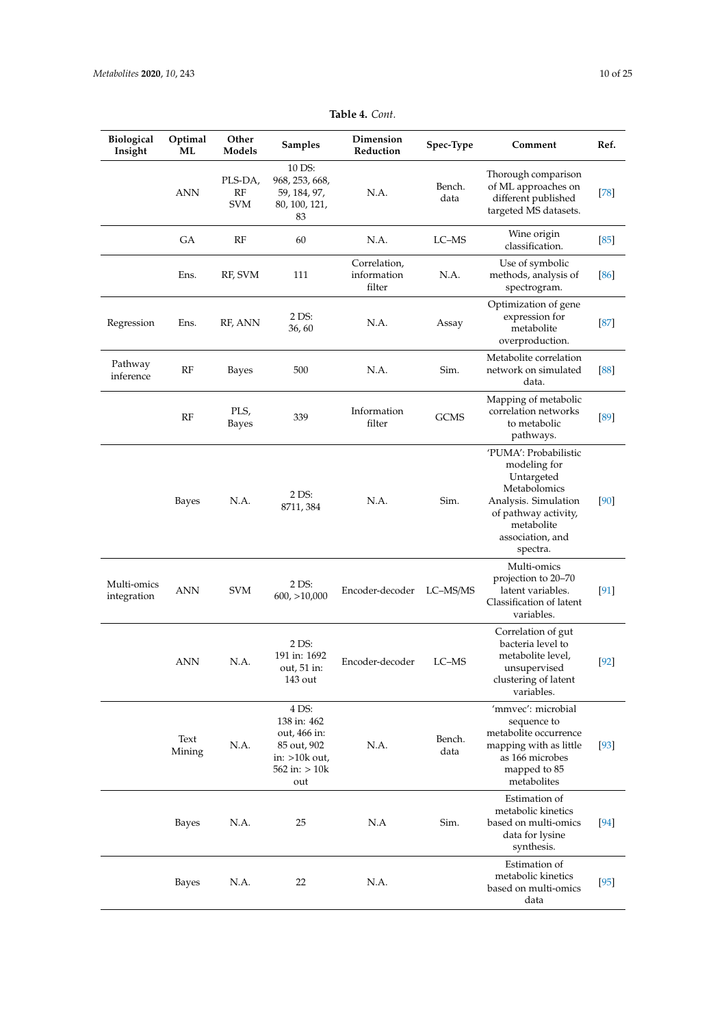| Biological<br>Insight      | Optimal<br>ML  | Other<br>Models             | <b>Samples</b>                                                                                     | Dimension<br>Reduction                | Spec-Type      | Comment                                                                                                                                                           | Ref.   |
|----------------------------|----------------|-----------------------------|----------------------------------------------------------------------------------------------------|---------------------------------------|----------------|-------------------------------------------------------------------------------------------------------------------------------------------------------------------|--------|
|                            | ANN            | PLS-DA,<br>RF<br><b>SVM</b> | 10 DS:<br>968, 253, 668,<br>59, 184, 97,<br>80, 100, 121,<br>83                                    | N.A.                                  | Bench.<br>data | Thorough comparison<br>of ML approaches on<br>different published<br>targeted MS datasets.                                                                        | $[78]$ |
|                            | <b>GA</b>      | RF                          | 60                                                                                                 | N.A.                                  | LC-MS          | Wine origin<br>classification.                                                                                                                                    | [85]   |
|                            | Ens.           | RF, SVM                     | 111                                                                                                | Correlation,<br>information<br>filter | N.A.           | Use of symbolic<br>methods, analysis of<br>spectrogram.                                                                                                           | $[86]$ |
| Regression                 | Ens.           | RF, ANN                     | 2 DS:<br>36,60                                                                                     | N.A.                                  | Assay          | Optimization of gene<br>expression for<br>metabolite<br>overproduction.                                                                                           | $[87]$ |
| Pathway<br>inference       | RF             | Bayes                       | 500                                                                                                | N.A.                                  | Sim.           | Metabolite correlation<br>network on simulated<br>data.                                                                                                           | [88]   |
|                            | RF             | PLS,<br>Bayes               | 339                                                                                                | Information<br>filter                 | <b>GCMS</b>    | Mapping of metabolic<br>correlation networks<br>to metabolic<br>pathways.                                                                                         | [89]   |
|                            | Bayes          | N.A.                        | 2 DS:<br>8711, 384                                                                                 | N.A.                                  | Sim.           | 'PUMA': Probabilistic<br>modeling for<br>Untargeted<br>Metabolomics<br>Analysis. Simulation<br>of pathway activity,<br>metabolite<br>association, and<br>spectra. | [90]   |
| Multi-omics<br>integration | <b>ANN</b>     | <b>SVM</b>                  | 2 DS:<br>600, >10,000                                                                              | Encoder-decoder                       | LC-MS/MS       | Multi-omics<br>projection to 20-70<br>latent variables.<br>Classification of latent<br>variables.                                                                 | $[91]$ |
|                            | ANN            | N.A.                        | 2 DS:<br>191 in: 1692<br>out, 51 in:<br>143 out                                                    | Encoder-decoder                       | LC-MS          | Correlation of gut<br>bacteria level to<br>metabolite level,<br>unsupervised<br>clustering of latent<br>variables.                                                | $[92]$ |
|                            | Text<br>Mining | N.A.                        | 4 DS:<br>138 in: 462<br>out, 466 in:<br>85 out, 902<br>in: $>10k$ out,<br>$562$ in: $> 10k$<br>out | N.A.                                  | Bench.<br>data | 'mmvec': microbial<br>sequence to<br>metabolite occurrence<br>mapping with as little<br>as 166 microbes<br>mapped to 85<br>metabolites                            | $[93]$ |
|                            | Bayes          | N.A.                        | 25                                                                                                 | N.A                                   | Sim.           | Estimation of<br>metabolic kinetics<br>based on multi-omics<br>data for lysine<br>synthesis.                                                                      | $[94]$ |
|                            | Bayes          | N.A.                        | 22                                                                                                 | N.A.                                  |                | Estimation of<br>metabolic kinetics<br>based on multi-omics<br>data                                                                                               | $[95]$ |

**Table 4.** *Cont.*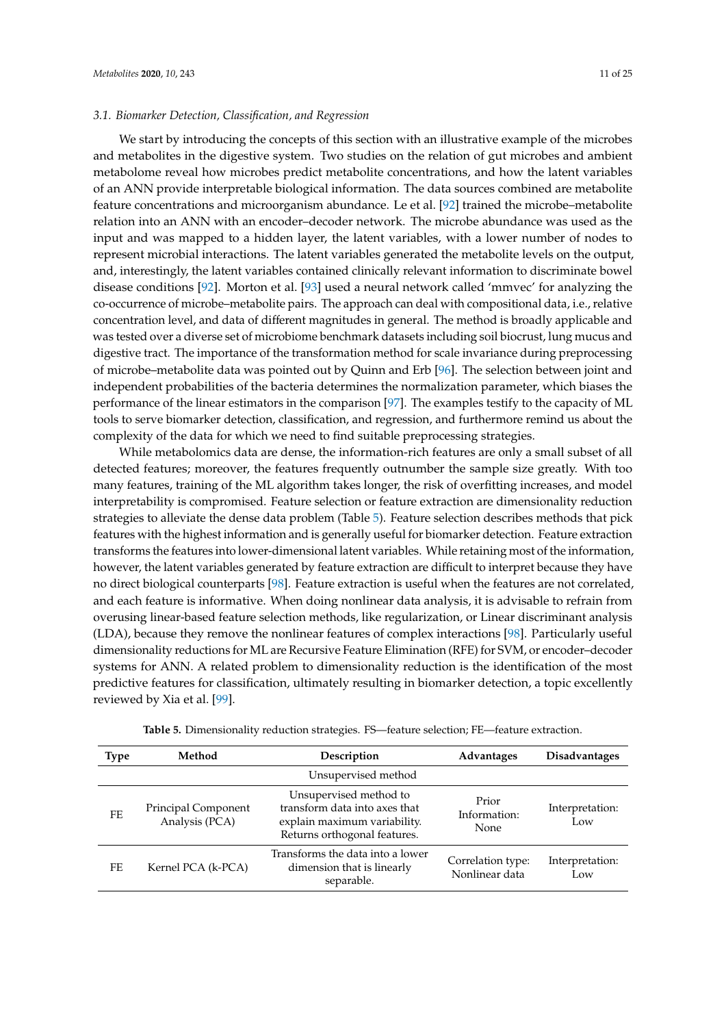We start by introducing the concepts of this section with an illustrative example of the microbes and metabolites in the digestive system. Two studies on the relation of gut microbes and ambient metabolome reveal how microbes predict metabolite concentrations, and how the latent variables of an ANN provide interpretable biological information. The data sources combined are metabolite feature concentrations and microorganism abundance. Le et al. [92] trained the microbe–metabolite relation into an ANN with an encoder–decoder network. The microbe abundance was used as the input and was mapped to a hidden layer, the latent variables, with a lower number of nodes to represent microbial interactions. The latent variables generated the metabolite levels on the output, and, interestingly, the latent variables contained clinically relevant information to discriminate bowel disease conditions [92]. Morton et al. [93] used a neural network called 'mmvec' for analyzing the co-occurrence of microbe–metabolite pairs. The approach can deal with compositional data, i.e., relative concentration level, and data of different magnitudes in general. The method is broadly applicable and was tested over a diverse set of microbiome benchmark datasets including soil biocrust, lung mucus and digestive tract. The importance of the transformation method for scale invariance during preprocessing of microbe–metabolite data was pointed out by Quinn and Erb [96]. The selection between joint and independent probabilities of the bacteria determines the normalization parameter, which biases the performance of the linear estimators in the comparison [97]. The examples testify to the capacity of ML tools to serve biomarker detection, classification, and regression, and furthermore remind us about the complexity of the data for which we need to find suitable preprocessing strategies.

While metabolomics data are dense, the information-rich features are only a small subset of all detected features; moreover, the features frequently outnumber the sample size greatly. With too many features, training of the ML algorithm takes longer, the risk of overfitting increases, and model interpretability is compromised. Feature selection or feature extraction are dimensionality reduction strategies to alleviate the dense data problem (Table 5). Feature selection describes methods that pick features with the highest information and is generally useful for biomarker detection. Feature extraction transforms the features into lower-dimensional latent variables. While retaining most of the information, however, the latent variables generated by feature extraction are difficult to interpret because they have no direct biological counterparts [98]. Feature extraction is useful when the features are not correlated, and each feature is informative. When doing nonlinear data analysis, it is advisable to refrain from overusing linear-based feature selection methods, like regularization, or Linear discriminant analysis (LDA), because they remove the nonlinear features of complex interactions [98]. Particularly useful dimensionality reductions for ML are Recursive Feature Elimination (RFE) for SVM, or encoder–decoder systems for ANN. A related problem to dimensionality reduction is the identification of the most predictive features for classification, ultimately resulting in biomarker detection, a topic excellently reviewed by Xia et al. [99].

| <b>Type</b> | Method                                                                                             | Description                                                                                                             | Advantages                           | <b>Disadvantages</b>   |
|-------------|----------------------------------------------------------------------------------------------------|-------------------------------------------------------------------------------------------------------------------------|--------------------------------------|------------------------|
|             |                                                                                                    | Unsupervised method                                                                                                     |                                      |                        |
| FE.         | Principal Component<br>Analysis (PCA)                                                              | Unsupervised method to<br>transform data into axes that<br>explain maximum variability.<br>Returns orthogonal features. | Prior<br>Information:<br><b>None</b> | Interpretation:<br>Low |
| FF          | Transforms the data into a lower<br>dimension that is linearly<br>Kernel PCA (k-PCA)<br>separable. |                                                                                                                         | Correlation type:<br>Nonlinear data  | Interpretation:<br>Low |

| Table 5. Dimensionality reduction strategies. FS-feature selection; FE-feature extraction. |  |  |
|--------------------------------------------------------------------------------------------|--|--|
|--------------------------------------------------------------------------------------------|--|--|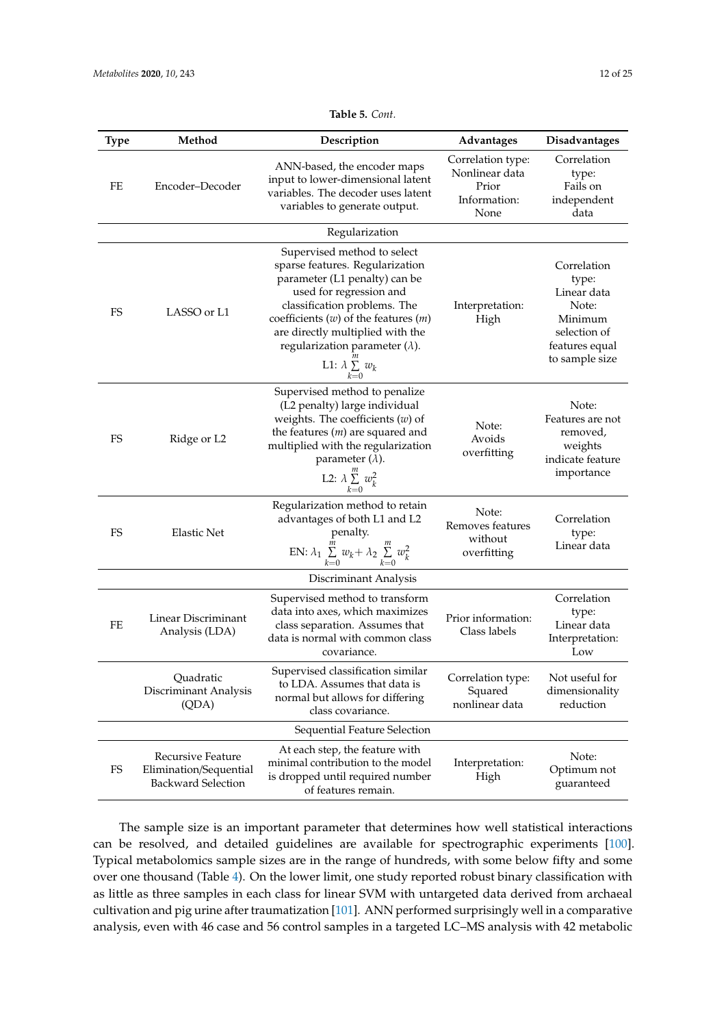| <b>Type</b> | Method                                                                   | Description                                                                                                                                                                                                                                                                                                              | Advantages                                                           | Disadvantages                                                                                               |
|-------------|--------------------------------------------------------------------------|--------------------------------------------------------------------------------------------------------------------------------------------------------------------------------------------------------------------------------------------------------------------------------------------------------------------------|----------------------------------------------------------------------|-------------------------------------------------------------------------------------------------------------|
| FE          | Encoder-Decoder                                                          | ANN-based, the encoder maps<br>input to lower-dimensional latent<br>variables. The decoder uses latent<br>variables to generate output.                                                                                                                                                                                  | Correlation type:<br>Nonlinear data<br>Prior<br>Information:<br>None | Correlation<br>type:<br>Fails on<br>independent<br>data                                                     |
|             |                                                                          | Regularization                                                                                                                                                                                                                                                                                                           |                                                                      |                                                                                                             |
| FS          | LASSO or L1                                                              | Supervised method to select<br>sparse features. Regularization<br>parameter (L1 penalty) can be<br>used for regression and<br>classification problems. The<br>coefficients $(w)$ of the features $(m)$<br>are directly multiplied with the<br>regularization parameter $(\lambda)$ .<br>L1: $\lambda \sum_{k=0}^{m} w_k$ | Interpretation:<br>High                                              | Correlation<br>type:<br>Linear data<br>Note:<br>Minimum<br>selection of<br>features equal<br>to sample size |
| FS          | Ridge or L2                                                              | Supervised method to penalize<br>(L2 penalty) large individual<br>weights. The coefficients $(w)$ of<br>the features $(m)$ are squared and<br>multiplied with the regularization<br>parameter $(\lambda)$ .<br>L2: $\lambda \sum_{k=0}^{m} w_k^2$                                                                        | Note:<br>Avoids<br>overfitting                                       | Note:<br>Features are not<br>removed,<br>weights<br>indicate feature<br>importance                          |
| FS          | <b>Elastic Net</b>                                                       | Regularization method to retain<br>advantages of both L1 and L2<br>penalty.<br>EN: $\lambda_1 \sum_{k=0}^{m} w_k + \lambda_2 \sum_{k=0}^{m} w_k^2$                                                                                                                                                                       | Note:<br>Removes features<br>without<br>overfitting                  | Correlation<br>type:<br>Linear data                                                                         |
|             |                                                                          | Discriminant Analysis                                                                                                                                                                                                                                                                                                    |                                                                      |                                                                                                             |
| FE          | Linear Discriminant<br>Analysis (LDA)                                    | Supervised method to transform<br>data into axes, which maximizes<br>class separation. Assumes that<br>data is normal with common class<br>covariance.                                                                                                                                                                   | Prior information:<br>Class labels                                   | Correlation<br>type:<br>Linear data<br>Interpretation:<br>Low                                               |
|             | Quadratic<br>Discriminant Analysis<br>(QDA)                              | Supervised classification similar<br>to LDA. Assumes that data is<br>normal but allows for differing<br>class covariance.                                                                                                                                                                                                | Correlation type:<br>Squared<br>nonlinear data                       | Not useful for<br>dimensionality<br>reduction                                                               |
|             |                                                                          | Sequential Feature Selection                                                                                                                                                                                                                                                                                             |                                                                      |                                                                                                             |
| FS          | Recursive Feature<br>Elimination/Sequential<br><b>Backward Selection</b> | At each step, the feature with<br>minimal contribution to the model<br>is dropped until required number<br>of features remain.                                                                                                                                                                                           | Interpretation:<br>High                                              | Note:<br>Optimum not<br>guaranteed                                                                          |

# **Table 5.** *Cont.*

The sample size is an important parameter that determines how well statistical interactions can be resolved, and detailed guidelines are available for spectrographic experiments [100]. Typical metabolomics sample sizes are in the range of hundreds, with some below fifty and some over one thousand (Table 4). On the lower limit, one study reported robust binary classification with as little as three samples in each class for linear SVM with untargeted data derived from archaeal cultivation and pig urine after traumatization [101]. ANN performed surprisingly well in a comparative analysis, even with 46 case and 56 control samples in a targeted LC–MS analysis with 42 metabolic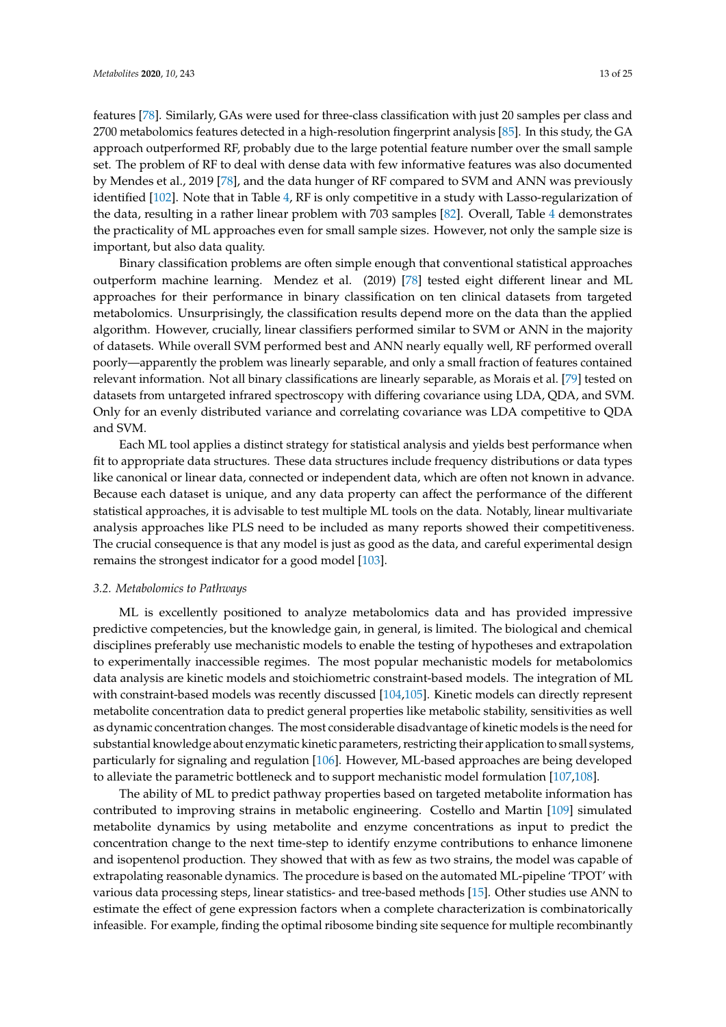features [78]. Similarly, GAs were used for three-class classification with just 20 samples per class and 2700 metabolomics features detected in a high-resolution fingerprint analysis [85]. In this study, the GA approach outperformed RF, probably due to the large potential feature number over the small sample set. The problem of RF to deal with dense data with few informative features was also documented by Mendes et al., 2019 [78], and the data hunger of RF compared to SVM and ANN was previously identified [102]. Note that in Table 4, RF is only competitive in a study with Lasso-regularization of the data, resulting in a rather linear problem with 703 samples [82]. Overall, Table 4 demonstrates the practicality of ML approaches even for small sample sizes. However, not only the sample size is important, but also data quality.

Binary classification problems are often simple enough that conventional statistical approaches outperform machine learning. Mendez et al. (2019) [78] tested eight different linear and ML approaches for their performance in binary classification on ten clinical datasets from targeted metabolomics. Unsurprisingly, the classification results depend more on the data than the applied algorithm. However, crucially, linear classifiers performed similar to SVM or ANN in the majority of datasets. While overall SVM performed best and ANN nearly equally well, RF performed overall poorly—apparently the problem was linearly separable, and only a small fraction of features contained relevant information. Not all binary classifications are linearly separable, as Morais et al. [79] tested on datasets from untargeted infrared spectroscopy with differing covariance using LDA, QDA, and SVM. Only for an evenly distributed variance and correlating covariance was LDA competitive to QDA and SVM.

Each ML tool applies a distinct strategy for statistical analysis and yields best performance when fit to appropriate data structures. These data structures include frequency distributions or data types like canonical or linear data, connected or independent data, which are often not known in advance. Because each dataset is unique, and any data property can affect the performance of the different statistical approaches, it is advisable to test multiple ML tools on the data. Notably, linear multivariate analysis approaches like PLS need to be included as many reports showed their competitiveness. The crucial consequence is that any model is just as good as the data, and careful experimental design remains the strongest indicator for a good model [103].

#### *3.2. Metabolomics to Pathways*

ML is excellently positioned to analyze metabolomics data and has provided impressive predictive competencies, but the knowledge gain, in general, is limited. The biological and chemical disciplines preferably use mechanistic models to enable the testing of hypotheses and extrapolation to experimentally inaccessible regimes. The most popular mechanistic models for metabolomics data analysis are kinetic models and stoichiometric constraint-based models. The integration of ML with constraint-based models was recently discussed [104,105]. Kinetic models can directly represent metabolite concentration data to predict general properties like metabolic stability, sensitivities as well as dynamic concentration changes. The most considerable disadvantage of kinetic models is the need for substantial knowledge about enzymatic kinetic parameters, restricting their application to small systems, particularly for signaling and regulation [106]. However, ML-based approaches are being developed to alleviate the parametric bottleneck and to support mechanistic model formulation [107,108].

The ability of ML to predict pathway properties based on targeted metabolite information has contributed to improving strains in metabolic engineering. Costello and Martin [109] simulated metabolite dynamics by using metabolite and enzyme concentrations as input to predict the concentration change to the next time-step to identify enzyme contributions to enhance limonene and isopentenol production. They showed that with as few as two strains, the model was capable of extrapolating reasonable dynamics. The procedure is based on the automated ML-pipeline 'TPOT' with various data processing steps, linear statistics- and tree-based methods [15]. Other studies use ANN to estimate the effect of gene expression factors when a complete characterization is combinatorically infeasible. For example, finding the optimal ribosome binding site sequence for multiple recombinantly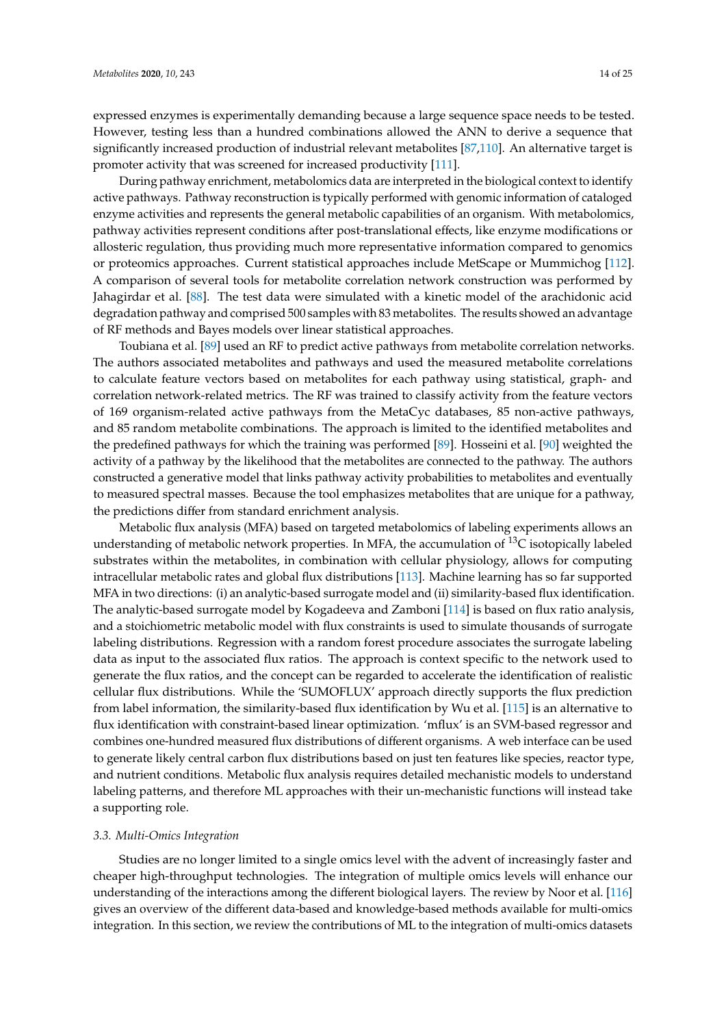expressed enzymes is experimentally demanding because a large sequence space needs to be tested. However, testing less than a hundred combinations allowed the ANN to derive a sequence that significantly increased production of industrial relevant metabolites [87,110]. An alternative target is promoter activity that was screened for increased productivity [111].

During pathway enrichment, metabolomics data are interpreted in the biological context to identify active pathways. Pathway reconstruction is typically performed with genomic information of cataloged enzyme activities and represents the general metabolic capabilities of an organism. With metabolomics, pathway activities represent conditions after post-translational effects, like enzyme modifications or allosteric regulation, thus providing much more representative information compared to genomics or proteomics approaches. Current statistical approaches include MetScape or Mummichog [112]. A comparison of several tools for metabolite correlation network construction was performed by Jahagirdar et al. [88]. The test data were simulated with a kinetic model of the arachidonic acid degradation pathway and comprised 500 samples with 83 metabolites. The results showed an advantage of RF methods and Bayes models over linear statistical approaches.

Toubiana et al. [89] used an RF to predict active pathways from metabolite correlation networks. The authors associated metabolites and pathways and used the measured metabolite correlations to calculate feature vectors based on metabolites for each pathway using statistical, graph- and correlation network-related metrics. The RF was trained to classify activity from the feature vectors of 169 organism-related active pathways from the MetaCyc databases, 85 non-active pathways, and 85 random metabolite combinations. The approach is limited to the identified metabolites and the predefined pathways for which the training was performed [89]. Hosseini et al. [90] weighted the activity of a pathway by the likelihood that the metabolites are connected to the pathway. The authors constructed a generative model that links pathway activity probabilities to metabolites and eventually to measured spectral masses. Because the tool emphasizes metabolites that are unique for a pathway, the predictions differ from standard enrichment analysis.

Metabolic flux analysis (MFA) based on targeted metabolomics of labeling experiments allows an understanding of metabolic network properties. In MFA, the accumulation of  $^{13}C$  isotopically labeled substrates within the metabolites, in combination with cellular physiology, allows for computing intracellular metabolic rates and global flux distributions [113]. Machine learning has so far supported MFA in two directions: (i) an analytic-based surrogate model and (ii) similarity-based flux identification. The analytic-based surrogate model by Kogadeeva and Zamboni [114] is based on flux ratio analysis, and a stoichiometric metabolic model with flux constraints is used to simulate thousands of surrogate labeling distributions. Regression with a random forest procedure associates the surrogate labeling data as input to the associated flux ratios. The approach is context specific to the network used to generate the flux ratios, and the concept can be regarded to accelerate the identification of realistic cellular flux distributions. While the 'SUMOFLUX' approach directly supports the flux prediction from label information, the similarity-based flux identification by Wu et al. [115] is an alternative to flux identification with constraint-based linear optimization. 'mflux' is an SVM-based regressor and combines one-hundred measured flux distributions of different organisms. A web interface can be used to generate likely central carbon flux distributions based on just ten features like species, reactor type, and nutrient conditions. Metabolic flux analysis requires detailed mechanistic models to understand labeling patterns, and therefore ML approaches with their un-mechanistic functions will instead take a supporting role.

## *3.3. Multi-Omics Integration*

Studies are no longer limited to a single omics level with the advent of increasingly faster and cheaper high-throughput technologies. The integration of multiple omics levels will enhance our understanding of the interactions among the different biological layers. The review by Noor et al. [116] gives an overview of the different data-based and knowledge-based methods available for multi-omics integration. In this section, we review the contributions of ML to the integration of multi-omics datasets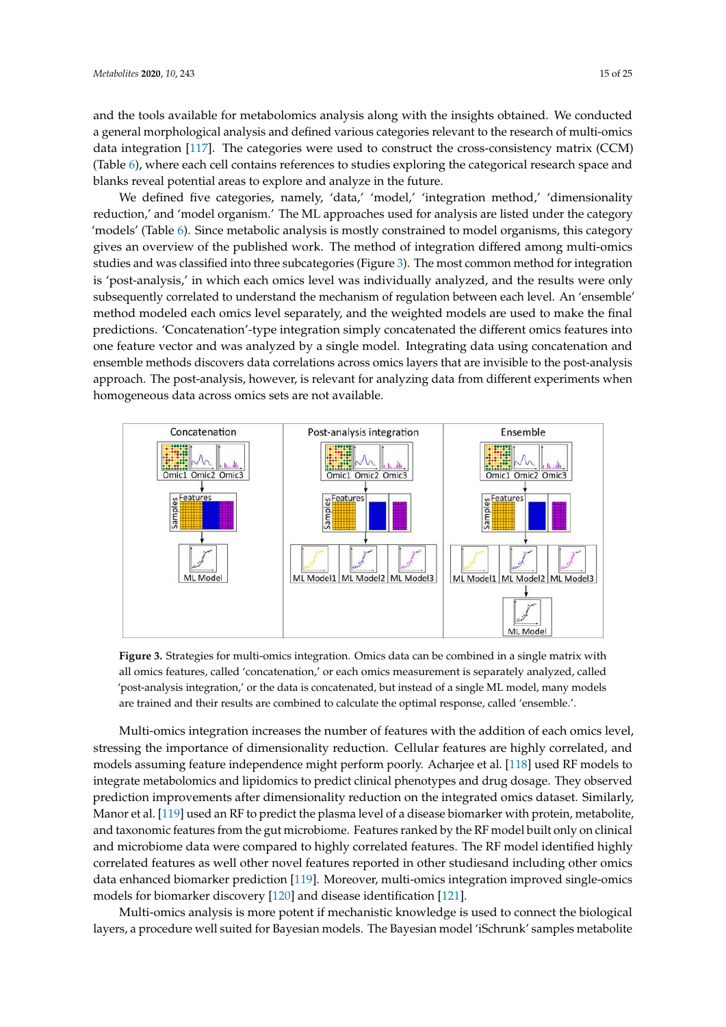and the tools available for metabolomics analysis along with the insights obtained. We conducted a general morphological analysis and defined various categories relevant to the research of multi-omics data integration [117]. The categories were used to construct the cross-consistency matrix (CCM) (Table 6), where each cell contains references to studies exploring the categorical research space and blanks reveal potential areas to explore and analyze in the future.

We defined five categories, namely, 'data,' 'model,' 'integration method,' 'dimensionality reduction,' and 'model organism.' The ML approaches used for analysis are listed under the category 'models' (Table 6). Since metabolic analysis is mostly constrained to model organisms, this category gives an overview of the published work. The method of integration differed among multi-omics studies and was classified into three subcategories (Figure 3). The most common method for integration is 'post-analysis,' in which each omics level was individually analyzed, and the results were only subsequently correlated to understand the mechanism of regulation between each level. An 'ensemble' method modeled each omics level separately, and the weighted models are used to make the final predictions. 'Concatenation'-type integration simply concatenated the different omics features into one feature vector and was analyzed by a single model. Integrating data using concatenation and ensemble methods discovers data correlations across omics layers that are invisible to the post-analysis approach. The post-analysis, however, is relevant for analyzing data from different experiments when homogeneous data across omics sets are not available.



**Figure 3.** Strategies for multi-omics integration. Omics data can be combined in a single matrix with all omics features, called 'concatenation,' or each omics measurement is separately analyzed, called 'post-analysis integration,' or the data is concatenated, but instead of a single ML model, many models are trained and their results are combined to calculate the optimal response, called 'ensemble.'.

Multi-omics integration increases the number of features with the addition of each omics level, stressing the importance of dimensionality reduction. Cellular features are highly correlated, and models assuming feature independence might perform poorly. Acharjee et al. [118] used RF models to integrate metabolomics and lipidomics to predict clinical phenotypes and drug dosage. They observed prediction improvements after dimensionality reduction on the integrated omics dataset. Similarly, Manor et al. [119] used an RF to predict the plasma level of a disease biomarker with protein, metabolite, and taxonomic features from the gut microbiome. Features ranked by the RF model built only on clinical and microbiome data were compared to highly correlated features. The RF model identified highly correlated features as well other novel features reported in other studiesand including other omics data enhanced biomarker prediction [119]. Moreover, multi-omics integration improved single-omics models for biomarker discovery [120] and disease identification [121].

Multi-omics analysis is more potent if mechanistic knowledge is used to connect the biological layers, a procedure well suited for Bayesian models. The Bayesian model 'iSchrunk' samples metabolite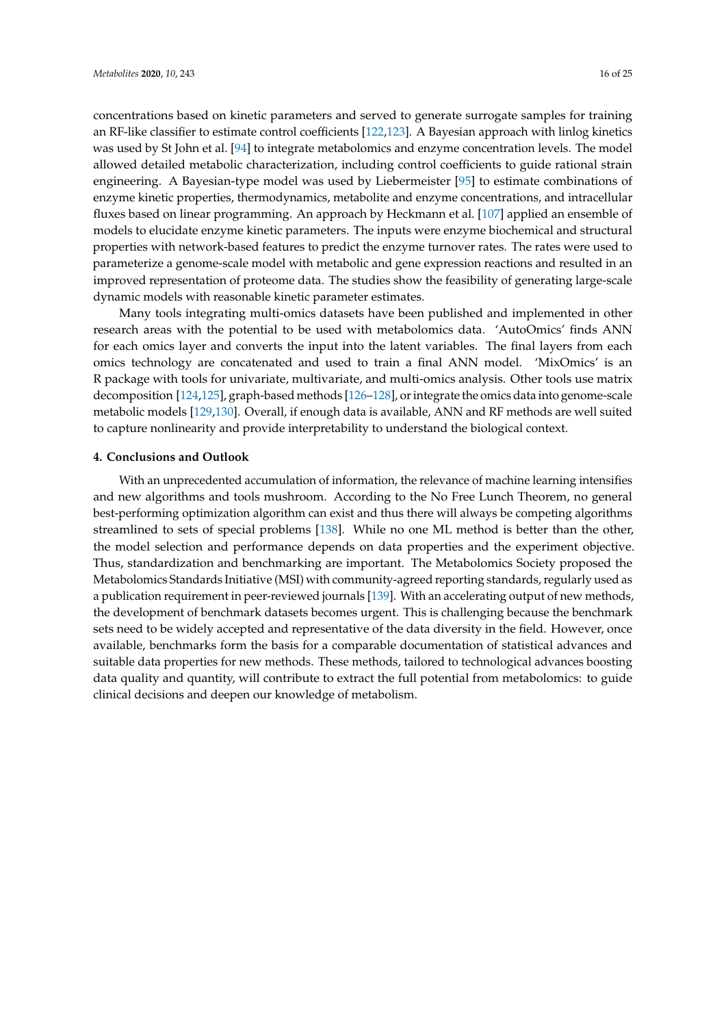concentrations based on kinetic parameters and served to generate surrogate samples for training an RF-like classifier to estimate control coefficients [122,123]. A Bayesian approach with linlog kinetics was used by St John et al. [94] to integrate metabolomics and enzyme concentration levels. The model allowed detailed metabolic characterization, including control coefficients to guide rational strain engineering. A Bayesian-type model was used by Liebermeister [95] to estimate combinations of enzyme kinetic properties, thermodynamics, metabolite and enzyme concentrations, and intracellular fluxes based on linear programming. An approach by Heckmann et al. [107] applied an ensemble of models to elucidate enzyme kinetic parameters. The inputs were enzyme biochemical and structural properties with network-based features to predict the enzyme turnover rates. The rates were used to parameterize a genome-scale model with metabolic and gene expression reactions and resulted in an improved representation of proteome data. The studies show the feasibility of generating large-scale dynamic models with reasonable kinetic parameter estimates.

Many tools integrating multi-omics datasets have been published and implemented in other research areas with the potential to be used with metabolomics data. 'AutoOmics' finds ANN for each omics layer and converts the input into the latent variables. The final layers from each omics technology are concatenated and used to train a final ANN model. 'MixOmics' is an R package with tools for univariate, multivariate, and multi-omics analysis. Other tools use matrix decomposition [124,125], graph-based methods [126–128], or integrate the omics data into genome-scale metabolic models [129,130]. Overall, if enough data is available, ANN and RF methods are well suited to capture nonlinearity and provide interpretability to understand the biological context.

#### **4. Conclusions and Outlook**

With an unprecedented accumulation of information, the relevance of machine learning intensifies and new algorithms and tools mushroom. According to the No Free Lunch Theorem, no general best-performing optimization algorithm can exist and thus there will always be competing algorithms streamlined to sets of special problems [138]. While no one ML method is better than the other, the model selection and performance depends on data properties and the experiment objective. Thus, standardization and benchmarking are important. The Metabolomics Society proposed the Metabolomics Standards Initiative (MSI) with community-agreed reporting standards, regularly used as a publication requirement in peer-reviewed journals [139]. With an accelerating output of new methods, the development of benchmark datasets becomes urgent. This is challenging because the benchmark sets need to be widely accepted and representative of the data diversity in the field. However, once available, benchmarks form the basis for a comparable documentation of statistical advances and suitable data properties for new methods. These methods, tailored to technological advances boosting data quality and quantity, will contribute to extract the full potential from metabolomics: to guide clinical decisions and deepen our knowledge of metabolism.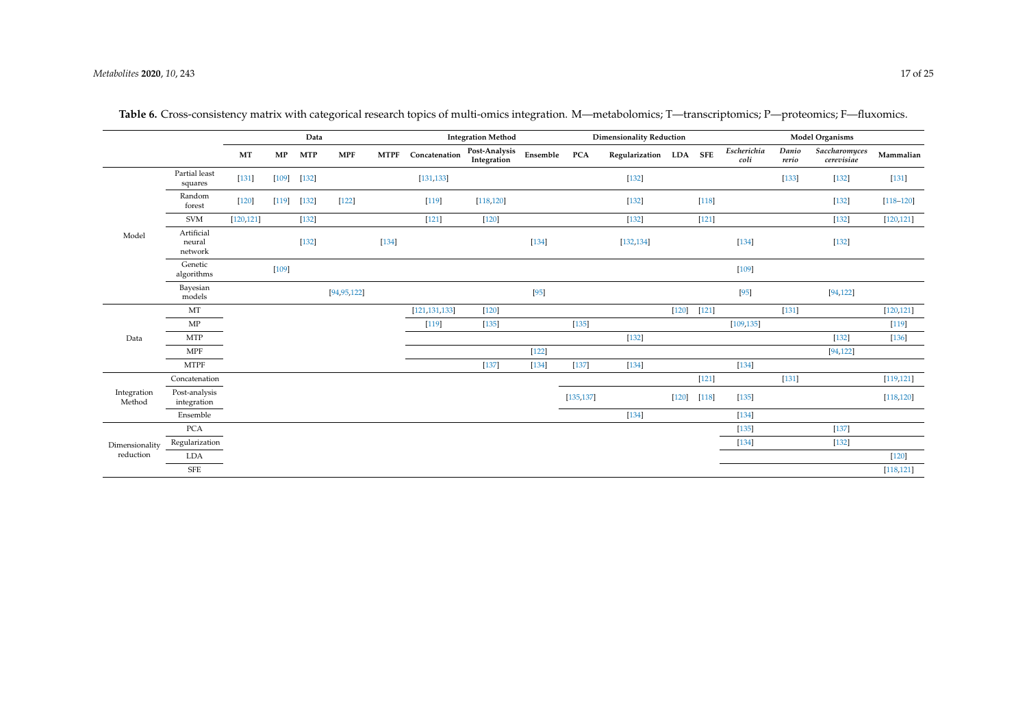|                       |                                 | Data       |         |                      | <b>Integration Method</b> |             |                 | <b>Dimensionality Reduction</b> |          |            |                        | <b>Model Organisms</b> |                      |                     |                |                             |               |
|-----------------------|---------------------------------|------------|---------|----------------------|---------------------------|-------------|-----------------|---------------------------------|----------|------------|------------------------|------------------------|----------------------|---------------------|----------------|-----------------------------|---------------|
|                       |                                 | MT         | MP      | <b>MTP</b>           | <b>MPF</b>                | <b>MTPF</b> | Concatenation   | Post-Analysis<br>Integration    | Ensemble | <b>PCA</b> | Regularization LDA SFE |                        |                      | Escherichia<br>coli | Danio<br>rerio | Saccharomyces<br>cerevisiae | Mammalian     |
|                       | Partial least<br>squares        | $[131]$    |         | $[109] \qquad [132]$ |                           |             | [131, 133]      |                                 |          |            | $[132]$                |                        |                      |                     | $[133]$        | $[132]$                     | $[131]$       |
|                       | Random<br>forest                | $[120]$    | [119]   | $[132]$              | $[122]$                   |             | $[119]$         | [118, 120]                      |          |            | $[132]$                |                        | $[118]$              |                     |                | $[132]$                     | $[118 - 120]$ |
|                       | <b>SVM</b>                      | [120, 121] |         | $[132]$              |                           |             | $[121]$         | $[120]$                         |          |            | $[132]$                |                        | $[121]$              |                     |                | $[132]$                     | [120, 121]    |
| Model                 | Artificial<br>neural<br>network |            |         | $[132]$              |                           | [134]       |                 |                                 | $[134]$  |            | [132, 134]             |                        |                      | $[134]$             |                | $[132]$                     |               |
|                       | Genetic<br>algorithms           |            | $[109]$ |                      |                           |             |                 |                                 |          |            |                        |                        |                      | $[109]$             |                |                             |               |
|                       | Bayesian<br>models              |            |         |                      | [94, 95, 122]             |             |                 |                                 | $[95]$   |            |                        |                        |                      | $[95]$              |                | [94, 122]                   |               |
|                       | MT                              |            |         |                      |                           |             | [121, 131, 133] | $[120]$                         |          |            |                        |                        | $[120] \qquad [121]$ |                     | $[131]$        |                             | [120, 121]    |
|                       | $\ensuremath{\mathrm{MP}}$      |            |         |                      |                           |             | $[119]$         | [135]                           |          | $[135]$    |                        |                        |                      | [109, 135]          |                |                             | $[119]$       |
| Data                  | <b>MTP</b>                      |            |         |                      |                           |             |                 |                                 |          |            | $[132]$                |                        |                      |                     |                | $[132]$                     | $[136]$       |
|                       | MPF                             |            |         |                      |                           |             |                 |                                 | $[122]$  |            |                        |                        |                      |                     |                | [94, 122]                   |               |
|                       | <b>MTPF</b>                     |            |         |                      |                           |             |                 | $[137]$                         | [134]    | $[137]$    | $[134]$                |                        |                      | $[134]$             |                |                             |               |
|                       | Concatenation                   |            |         |                      |                           |             |                 |                                 |          |            |                        |                        | $[121]$              |                     | $[131]$        |                             | [119, 121]    |
| Integration<br>Method | Post-analysis<br>integration    |            |         |                      |                           |             |                 |                                 |          | [135, 137] |                        | $[120]$                | [118]                | [135]               |                |                             | [118, 120]    |
|                       | Ensemble                        |            |         |                      |                           |             |                 |                                 |          |            | $[134]$                |                        |                      | $[134]$             |                |                             |               |
|                       | <b>PCA</b>                      |            |         |                      |                           |             |                 |                                 |          |            |                        |                        |                      | [135]               |                | $[137]$                     |               |
| Dimensionality        | Regularization                  |            |         |                      |                           |             |                 |                                 |          |            |                        |                        |                      | [134]               |                | $[132]$                     |               |
| reduction             | LDA                             |            |         |                      |                           |             |                 |                                 |          |            |                        |                        |                      |                     |                |                             | $[120]$       |
|                       | ${\rm SFE}$                     |            |         |                      |                           |             |                 |                                 |          |            |                        |                        |                      |                     |                |                             | [118, 121]    |

**Table 6.** Cross-consistency matrix with categorical research topics of multi-omics integration. M—metabolomics; T—transcriptomics; P—proteomics; F—fluxomics.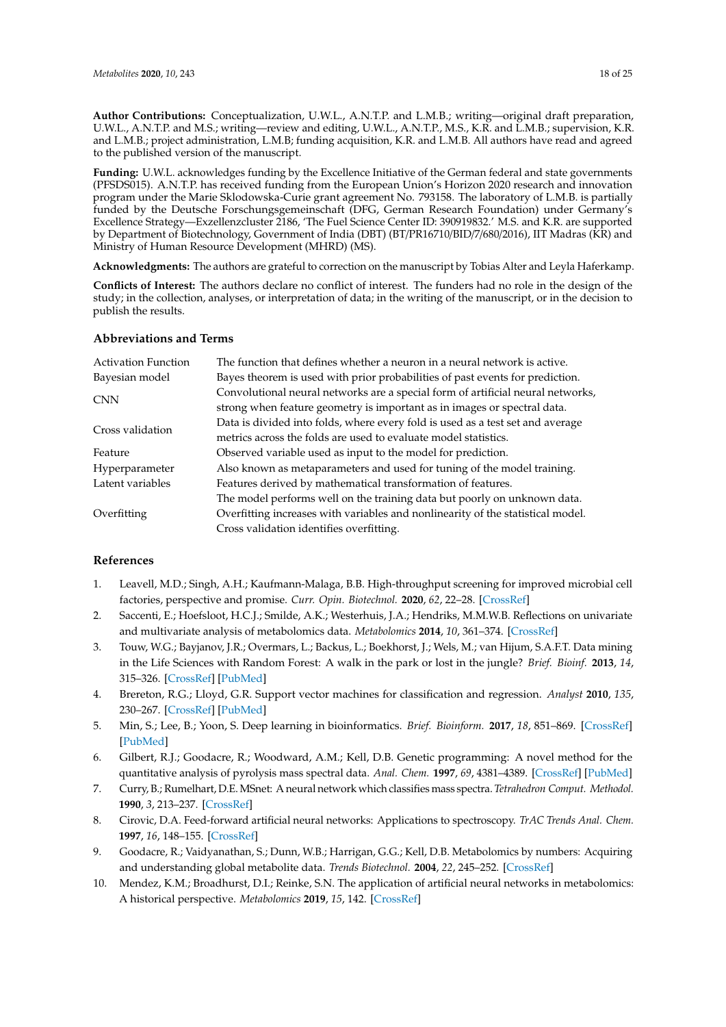**Author Contributions:** Conceptualization, U.W.L., A.N.T.P. and L.M.B.; writing—original draft preparation, U.W.L., A.N.T.P. and M.S.; writing—review and editing, U.W.L., A.N.T.P., M.S., K.R. and L.M.B.; supervision, K.R. and L.M.B.; project administration, L.M.B; funding acquisition, K.R. and L.M.B. All authors have read and agreed to the published version of the manuscript.

**Funding:** U.W.L. acknowledges funding by the Excellence Initiative of the German federal and state governments (PFSDS015). A.N.T.P. has received funding from the European Union's Horizon 2020 research and innovation program under the Marie Sklodowska-Curie grant agreement No. 793158. The laboratory of L.M.B. is partially funded by the Deutsche Forschungsgemeinschaft (DFG, German Research Foundation) under Germany's Excellence Strategy—Exzellenzcluster 2186, 'The Fuel Science Center ID: 390919832.' M.S. and K.R. are supported by Department of Biotechnology, Government of India (DBT) (BT/PR16710/BID/7/680/2016), IIT Madras (KR) and Ministry of Human Resource Development (MHRD) (MS).

**Acknowledgments:** The authors are grateful to correction on the manuscript by Tobias Alter and Leyla Haferkamp.

**Conflicts of Interest:** The authors declare no conflict of interest. The funders had no role in the design of the study; in the collection, analyses, or interpretation of data; in the writing of the manuscript, or in the decision to publish the results.

## **Abbreviations and Terms**

| <b>Activation Function</b> | The function that defines whether a neuron in a neural network is active.                                                                                   |
|----------------------------|-------------------------------------------------------------------------------------------------------------------------------------------------------------|
| Bayesian model             | Bayes theorem is used with prior probabilities of past events for prediction.                                                                               |
| <b>CNN</b>                 | Convolutional neural networks are a special form of artificial neural networks,<br>strong when feature geometry is important as in images or spectral data. |
| Cross validation           | Data is divided into folds, where every fold is used as a test set and average<br>metrics across the folds are used to evaluate model statistics.           |
| Feature                    | Observed variable used as input to the model for prediction.                                                                                                |
| Hyperparameter             | Also known as metaparameters and used for tuning of the model training.                                                                                     |
| Latent variables           | Features derived by mathematical transformation of features.                                                                                                |
|                            | The model performs well on the training data but poorly on unknown data.                                                                                    |
| Overfitting                | Overfitting increases with variables and nonlinearity of the statistical model.                                                                             |
|                            | Cross validation identifies overfitting.                                                                                                                    |

## **References**

- 1. Leavell, M.D.; Singh, A.H.; Kaufmann-Malaga, B.B. High-throughput screening for improved microbial cell factories, perspective and promise. *Curr. Opin. Biotechnol.* **2020**, *62*, 22–28. [CrossRef]
- 2. Saccenti, E.; Hoefsloot, H.C.J.; Smilde, A.K.; Westerhuis, J.A.; Hendriks, M.M.W.B. Reflections on univariate and multivariate analysis of metabolomics data. *Metabolomics* **2014**, *10*, 361–374. [CrossRef]
- 3. Touw, W.G.; Bayjanov, J.R.; Overmars, L.; Backus, L.; Boekhorst, J.; Wels, M.; van Hijum, S.A.F.T. Data mining in the Life Sciences with Random Forest: A walk in the park or lost in the jungle? *Brief. Bioinf.* **2013**, *14*, 315–326. [CrossRef] [PubMed]
- 4. Brereton, R.G.; Lloyd, G.R. Support vector machines for classification and regression. *Analyst* **2010**, *135*, 230–267. [CrossRef] [PubMed]
- 5. Min, S.; Lee, B.; Yoon, S. Deep learning in bioinformatics. *Brief. Bioinform.* **2017**, *18*, 851–869. [CrossRef] [PubMed]
- 6. Gilbert, R.J.; Goodacre, R.; Woodward, A.M.; Kell, D.B. Genetic programming: A novel method for the quantitative analysis of pyrolysis mass spectral data. *Anal. Chem.* **1997**, *69*, 4381–4389. [CrossRef] [PubMed]
- 7. Curry, B.; Rumelhart, D.E. MSnet: A neural network which classifies mass spectra. *Tetrahedron Comput. Methodol.* **1990**, *3*, 213–237. [CrossRef]
- 8. Cirovic, D.A. Feed-forward artificial neural networks: Applications to spectroscopy. *TrAC Trends Anal. Chem.* **1997**, *16*, 148–155. [CrossRef]
- 9. Goodacre, R.; Vaidyanathan, S.; Dunn, W.B.; Harrigan, G.G.; Kell, D.B. Metabolomics by numbers: Acquiring and understanding global metabolite data. *Trends Biotechnol.* **2004**, *22*, 245–252. [CrossRef]
- 10. Mendez, K.M.; Broadhurst, D.I.; Reinke, S.N. The application of artificial neural networks in metabolomics: A historical perspective. *Metabolomics* **2019**, *15*, 142. [CrossRef]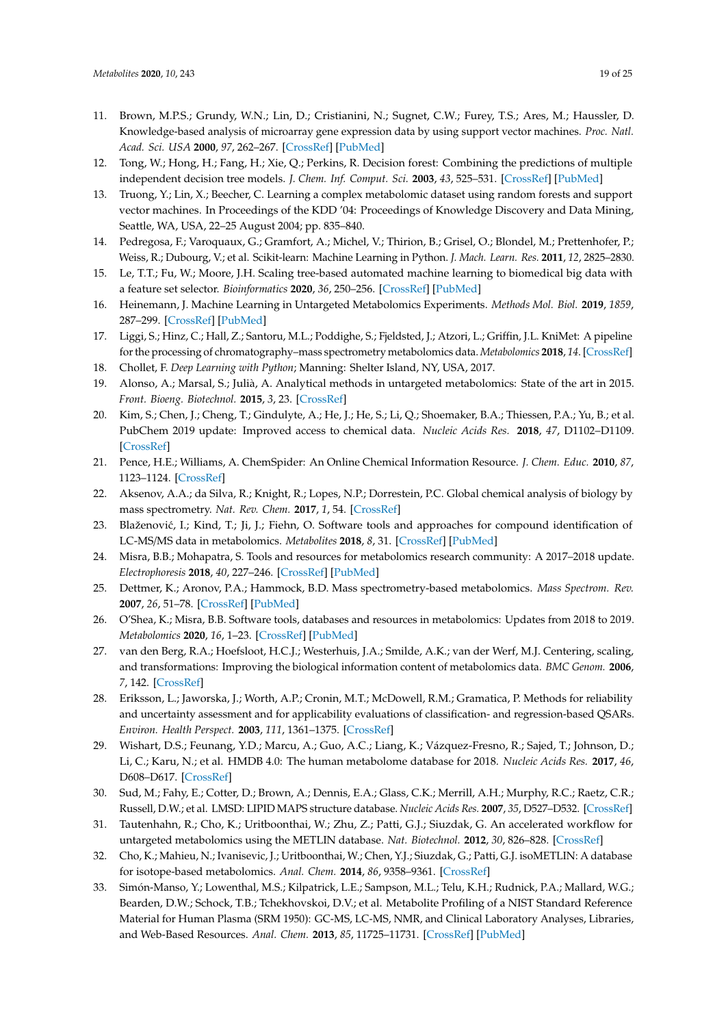- 11. Brown, M.P.S.; Grundy, W.N.; Lin, D.; Cristianini, N.; Sugnet, C.W.; Furey, T.S.; Ares, M.; Haussler, D. Knowledge-based analysis of microarray gene expression data by using support vector machines. *Proc. Natl. Acad. Sci. USA* **2000**, *97*, 262–267. [CrossRef] [PubMed]
- 12. Tong, W.; Hong, H.; Fang, H.; Xie, Q.; Perkins, R. Decision forest: Combining the predictions of multiple independent decision tree models. *J. Chem. Inf. Comput. Sci.* **2003**, *43*, 525–531. [CrossRef] [PubMed]
- 13. Truong, Y.; Lin, X.; Beecher, C. Learning a complex metabolomic dataset using random forests and support vector machines. In Proceedings of the KDD '04: Proceedings of Knowledge Discovery and Data Mining, Seattle, WA, USA, 22–25 August 2004; pp. 835–840.
- 14. Pedregosa, F.; Varoquaux, G.; Gramfort, A.; Michel, V.; Thirion, B.; Grisel, O.; Blondel, M.; Prettenhofer, P.; Weiss, R.; Dubourg, V.; et al. Scikit-learn: Machine Learning in Python. *J. Mach. Learn. Res.* **2011**, *12*, 2825–2830.
- 15. Le, T.T.; Fu, W.; Moore, J.H. Scaling tree-based automated machine learning to biomedical big data with a feature set selector. *Bioinformatics* **2020**, *36*, 250–256. [CrossRef] [PubMed]
- 16. Heinemann, J. Machine Learning in Untargeted Metabolomics Experiments. *Methods Mol. Biol.* **2019**, *1859*, 287–299. [CrossRef] [PubMed]
- 17. Liggi, S.; Hinz, C.; Hall, Z.; Santoru, M.L.; Poddighe, S.; Fjeldsted, J.; Atzori, L.; Griffin, J.L. KniMet: A pipeline for the processing of chromatography–mass spectrometry metabolomics data. *Metabolomics* **2018**, *14*. [CrossRef]
- 18. Chollet, F. *Deep Learning with Python*; Manning: Shelter Island, NY, USA, 2017.
- 19. Alonso, A.; Marsal, S.; Julià, A. Analytical methods in untargeted metabolomics: State of the art in 2015. *Front. Bioeng. Biotechnol.* **2015**, *3*, 23. [CrossRef]
- 20. Kim, S.; Chen, J.; Cheng, T.; Gindulyte, A.; He, J.; He, S.; Li, Q.; Shoemaker, B.A.; Thiessen, P.A.; Yu, B.; et al. PubChem 2019 update: Improved access to chemical data. *Nucleic Acids Res.* **2018**, *47*, D1102–D1109. [CrossRef]
- 21. Pence, H.E.; Williams, A. ChemSpider: An Online Chemical Information Resource. *J. Chem. Educ.* **2010**, *87*, 1123–1124. [CrossRef]
- 22. Aksenov, A.A.; da Silva, R.; Knight, R.; Lopes, N.P.; Dorrestein, P.C. Global chemical analysis of biology by mass spectrometry. *Nat. Rev. Chem.* **2017**, *1*, 54. [CrossRef]
- 23. Blaženović, I.; Kind, T.; Ji, J.; Fiehn, O. Software tools and approaches for compound identification of LC-MS/MS data in metabolomics. *Metabolites* **2018**, *8*, 31. [CrossRef] [PubMed]
- 24. Misra, B.B.; Mohapatra, S. Tools and resources for metabolomics research community: A 2017–2018 update. *Electrophoresis* **2018**, *40*, 227–246. [CrossRef] [PubMed]
- 25. Dettmer, K.; Aronov, P.A.; Hammock, B.D. Mass spectrometry-based metabolomics. *Mass Spectrom. Rev.* **2007**, *26*, 51–78. [CrossRef] [PubMed]
- 26. O'Shea, K.; Misra, B.B. Software tools, databases and resources in metabolomics: Updates from 2018 to 2019. *Metabolomics* **2020**, *16*, 1–23. [CrossRef] [PubMed]
- 27. van den Berg, R.A.; Hoefsloot, H.C.J.; Westerhuis, J.A.; Smilde, A.K.; van der Werf, M.J. Centering, scaling, and transformations: Improving the biological information content of metabolomics data. *BMC Genom.* **2006**, *7*, 142. [CrossRef]
- 28. Eriksson, L.; Jaworska, J.; Worth, A.P.; Cronin, M.T.; McDowell, R.M.; Gramatica, P. Methods for reliability and uncertainty assessment and for applicability evaluations of classification- and regression-based QSARs. *Environ. Health Perspect.* **2003**, *111*, 1361–1375. [CrossRef]
- 29. Wishart, D.S.; Feunang, Y.D.; Marcu, A.; Guo, A.C.; Liang, K.; Vázquez-Fresno, R.; Sajed, T.; Johnson, D.; Li, C.; Karu, N.; et al. HMDB 4.0: The human metabolome database for 2018. *Nucleic Acids Res.* **2017**, *46*, D608–D617. [CrossRef]
- 30. Sud, M.; Fahy, E.; Cotter, D.; Brown, A.; Dennis, E.A.; Glass, C.K.; Merrill, A.H.; Murphy, R.C.; Raetz, C.R.; Russell, D.W.; et al. LMSD: LIPID MAPS structure database. *Nucleic Acids Res.* **2007**, *35*, D527–D532. [CrossRef]
- 31. Tautenhahn, R.; Cho, K.; Uritboonthai, W.; Zhu, Z.; Patti, G.J.; Siuzdak, G. An accelerated workflow for untargeted metabolomics using the METLIN database. *Nat. Biotechnol.* **2012**, *30*, 826–828. [CrossRef]
- 32. Cho, K.; Mahieu, N.; Ivanisevic, J.; Uritboonthai, W.; Chen, Y.J.; Siuzdak, G.; Patti, G.J. isoMETLIN: A database for isotope-based metabolomics. *Anal. Chem.* **2014**, *86*, 9358–9361. [CrossRef]
- 33. Simón-Manso, Y.; Lowenthal, M.S.; Kilpatrick, L.E.; Sampson, M.L.; Telu, K.H.; Rudnick, P.A.; Mallard, W.G.; Bearden, D.W.; Schock, T.B.; Tchekhovskoi, D.V.; et al. Metabolite Profiling of a NIST Standard Reference Material for Human Plasma (SRM 1950): GC-MS, LC-MS, NMR, and Clinical Laboratory Analyses, Libraries, and Web-Based Resources. *Anal. Chem.* **2013**, *85*, 11725–11731. [CrossRef] [PubMed]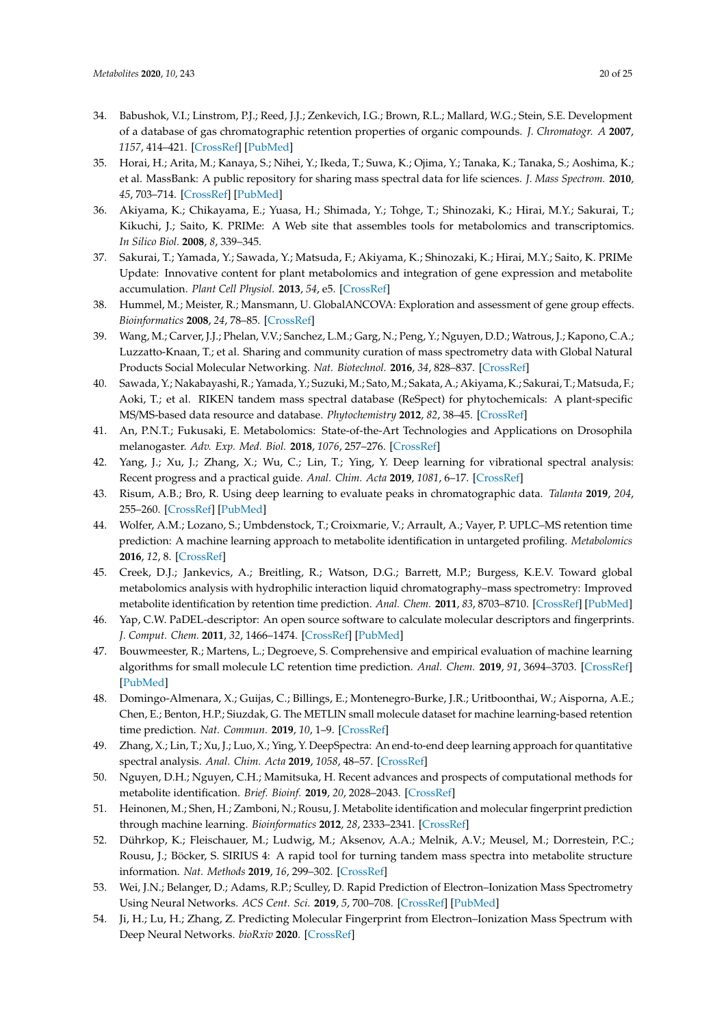- 34. Babushok, V.I.; Linstrom, P.J.; Reed, J.J.; Zenkevich, I.G.; Brown, R.L.; Mallard, W.G.; Stein, S.E. Development of a database of gas chromatographic retention properties of organic compounds. *J. Chromatogr. A* **2007**, *1157*, 414–421. [CrossRef] [PubMed]
- 35. Horai, H.; Arita, M.; Kanaya, S.; Nihei, Y.; Ikeda, T.; Suwa, K.; Ojima, Y.; Tanaka, K.; Tanaka, S.; Aoshima, K.; et al. MassBank: A public repository for sharing mass spectral data for life sciences. *J. Mass Spectrom.* **2010**, *45*, 703–714. [CrossRef] [PubMed]
- 36. Akiyama, K.; Chikayama, E.; Yuasa, H.; Shimada, Y.; Tohge, T.; Shinozaki, K.; Hirai, M.Y.; Sakurai, T.; Kikuchi, J.; Saito, K. PRIMe: A Web site that assembles tools for metabolomics and transcriptomics. *In Silico Biol.* **2008**, *8*, 339–345.
- 37. Sakurai, T.; Yamada, Y.; Sawada, Y.; Matsuda, F.; Akiyama, K.; Shinozaki, K.; Hirai, M.Y.; Saito, K. PRIMe Update: Innovative content for plant metabolomics and integration of gene expression and metabolite accumulation. *Plant Cell Physiol.* **2013**, *54*, e5. [CrossRef]
- 38. Hummel, M.; Meister, R.; Mansmann, U. GlobalANCOVA: Exploration and assessment of gene group effects. *Bioinformatics* **2008**, *24*, 78–85. [CrossRef]
- 39. Wang, M.; Carver, J.J.; Phelan, V.V.; Sanchez, L.M.; Garg, N.; Peng, Y.; Nguyen, D.D.; Watrous, J.; Kapono, C.A.; Luzzatto-Knaan, T.; et al. Sharing and community curation of mass spectrometry data with Global Natural Products Social Molecular Networking. *Nat. Biotechnol.* **2016**, *34*, 828–837. [CrossRef]
- 40. Sawada, Y.; Nakabayashi, R.; Yamada, Y.; Suzuki, M.; Sato, M.; Sakata, A.; Akiyama, K.; Sakurai, T.; Matsuda, F.; Aoki, T.; et al. RIKEN tandem mass spectral database (ReSpect) for phytochemicals: A plant-specific MS/MS-based data resource and database. *Phytochemistry* **2012**, *82*, 38–45. [CrossRef]
- 41. An, P.N.T.; Fukusaki, E. Metabolomics: State-of-the-Art Technologies and Applications on Drosophila melanogaster. *Adv. Exp. Med. Biol.* **2018**, *1076*, 257–276. [CrossRef]
- 42. Yang, J.; Xu, J.; Zhang, X.; Wu, C.; Lin, T.; Ying, Y. Deep learning for vibrational spectral analysis: Recent progress and a practical guide. *Anal. Chim. Acta* **2019**, *1081*, 6–17. [CrossRef]
- 43. Risum, A.B.; Bro, R. Using deep learning to evaluate peaks in chromatographic data. *Talanta* **2019**, *204*, 255–260. [CrossRef] [PubMed]
- 44. Wolfer, A.M.; Lozano, S.; Umbdenstock, T.; Croixmarie, V.; Arrault, A.; Vayer, P. UPLC–MS retention time prediction: A machine learning approach to metabolite identification in untargeted profiling. *Metabolomics* **2016**, *12*, 8. [CrossRef]
- 45. Creek, D.J.; Jankevics, A.; Breitling, R.; Watson, D.G.; Barrett, M.P.; Burgess, K.E.V. Toward global metabolomics analysis with hydrophilic interaction liquid chromatography–mass spectrometry: Improved metabolite identification by retention time prediction. *Anal. Chem.* **2011**, *83*, 8703–8710. [CrossRef] [PubMed]
- 46. Yap, C.W. PaDEL-descriptor: An open source software to calculate molecular descriptors and fingerprints. *J. Comput. Chem.* **2011**, *32*, 1466–1474. [CrossRef] [PubMed]
- 47. Bouwmeester, R.; Martens, L.; Degroeve, S. Comprehensive and empirical evaluation of machine learning algorithms for small molecule LC retention time prediction. *Anal. Chem.* **2019**, *91*, 3694–3703. [CrossRef] [PubMed]
- 48. Domingo-Almenara, X.; Guijas, C.; Billings, E.; Montenegro-Burke, J.R.; Uritboonthai, W.; Aisporna, A.E.; Chen, E.; Benton, H.P.; Siuzdak, G. The METLIN small molecule dataset for machine learning-based retention time prediction. *Nat. Commun.* **2019**, *10*, 1–9. [CrossRef]
- 49. Zhang, X.; Lin, T.; Xu, J.; Luo, X.; Ying, Y. DeepSpectra: An end-to-end deep learning approach for quantitative spectral analysis. *Anal. Chim. Acta* **2019**, *1058*, 48–57. [CrossRef]
- 50. Nguyen, D.H.; Nguyen, C.H.; Mamitsuka, H. Recent advances and prospects of computational methods for metabolite identification. *Brief. Bioinf.* **2019**, *20*, 2028–2043. [CrossRef]
- 51. Heinonen, M.; Shen, H.; Zamboni, N.; Rousu, J. Metabolite identification and molecular fingerprint prediction through machine learning. *Bioinformatics* **2012**, *28*, 2333–2341. [CrossRef]
- 52. Dührkop, K.; Fleischauer, M.; Ludwig, M.; Aksenov, A.A.; Melnik, A.V.; Meusel, M.; Dorrestein, P.C.; Rousu, J.; Böcker, S. SIRIUS 4: A rapid tool for turning tandem mass spectra into metabolite structure information. *Nat. Methods* **2019**, *16*, 299–302. [CrossRef]
- 53. Wei, J.N.; Belanger, D.; Adams, R.P.; Sculley, D. Rapid Prediction of Electron–Ionization Mass Spectrometry Using Neural Networks. *ACS Cent. Sci.* **2019**, *5*, 700–708. [CrossRef] [PubMed]
- 54. Ji, H.; Lu, H.; Zhang, Z. Predicting Molecular Fingerprint from Electron–Ionization Mass Spectrum with Deep Neural Networks. *bioRxiv* **2020**. [CrossRef]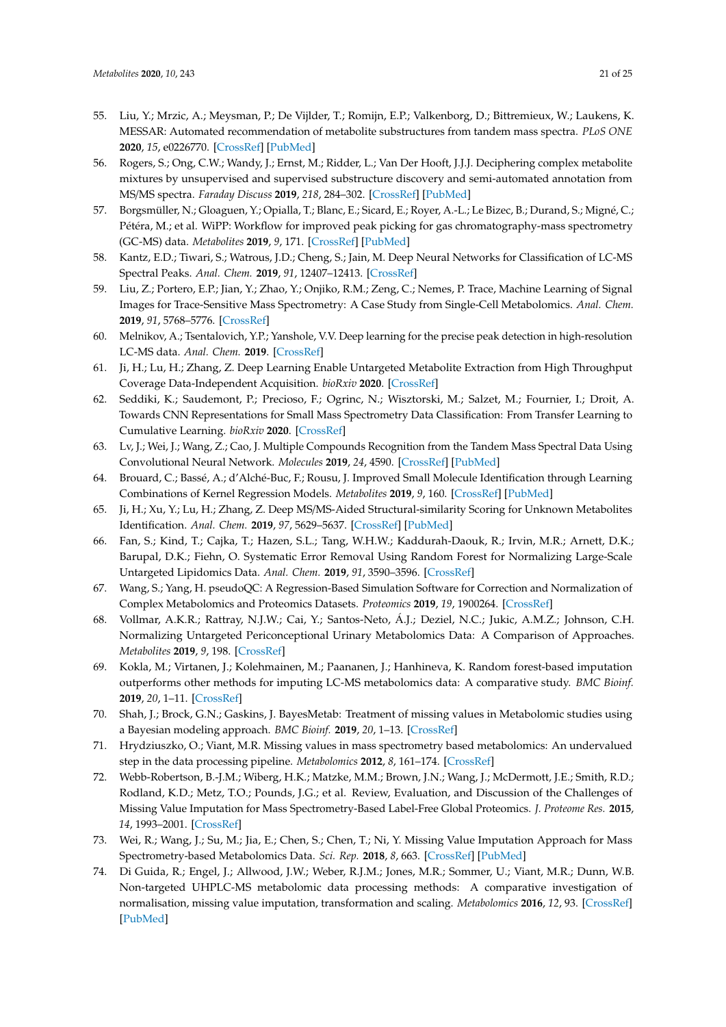- 55. Liu, Y.; Mrzic, A.; Meysman, P.; De Vijlder, T.; Romijn, E.P.; Valkenborg, D.; Bittremieux, W.; Laukens, K. MESSAR: Automated recommendation of metabolite substructures from tandem mass spectra. *PLoS ONE* **2020**, *15*, e0226770. [CrossRef] [PubMed]
- 56. Rogers, S.; Ong, C.W.; Wandy, J.; Ernst, M.; Ridder, L.; Van Der Hooft, J.J.J. Deciphering complex metabolite mixtures by unsupervised and supervised substructure discovery and semi-automated annotation from MS/MS spectra. *Faraday Discuss* **2019**, *218*, 284–302. [CrossRef] [PubMed]
- 57. Borgsmüller, N.; Gloaguen, Y.; Opialla, T.; Blanc, E.; Sicard, E.; Royer, A.-L.; Le Bizec, B.; Durand, S.; Migné, C.; Pétéra, M.; et al. WiPP: Workflow for improved peak picking for gas chromatography-mass spectrometry (GC-MS) data. *Metabolites* **2019**, *9*, 171. [CrossRef] [PubMed]
- 58. Kantz, E.D.; Tiwari, S.; Watrous, J.D.; Cheng, S.; Jain, M. Deep Neural Networks for Classification of LC-MS Spectral Peaks. *Anal. Chem.* **2019**, *91*, 12407–12413. [CrossRef]
- 59. Liu, Z.; Portero, E.P.; Jian, Y.; Zhao, Y.; Onjiko, R.M.; Zeng, C.; Nemes, P. Trace, Machine Learning of Signal Images for Trace-Sensitive Mass Spectrometry: A Case Study from Single-Cell Metabolomics. *Anal. Chem.* **2019**, *91*, 5768–5776. [CrossRef]
- 60. Melnikov, A.; Tsentalovich, Y.P.; Yanshole, V.V. Deep learning for the precise peak detection in high-resolution LC-MS data. *Anal. Chem.* **2019**. [CrossRef]
- 61. Ji, H.; Lu, H.; Zhang, Z. Deep Learning Enable Untargeted Metabolite Extraction from High Throughput Coverage Data-Independent Acquisition. *bioRxiv* **2020**. [CrossRef]
- 62. Seddiki, K.; Saudemont, P.; Precioso, F.; Ogrinc, N.; Wisztorski, M.; Salzet, M.; Fournier, I.; Droit, A. Towards CNN Representations for Small Mass Spectrometry Data Classification: From Transfer Learning to Cumulative Learning. *bioRxiv* **2020**. [CrossRef]
- 63. Lv, J.; Wei, J.; Wang, Z.; Cao, J. Multiple Compounds Recognition from the Tandem Mass Spectral Data Using Convolutional Neural Network. *Molecules* **2019**, *24*, 4590. [CrossRef] [PubMed]
- 64. Brouard, C.; Bassé, A.; d'Alché-Buc, F.; Rousu, J. Improved Small Molecule Identification through Learning Combinations of Kernel Regression Models. *Metabolites* **2019**, *9*, 160. [CrossRef] [PubMed]
- 65. Ji, H.; Xu, Y.; Lu, H.; Zhang, Z. Deep MS/MS-Aided Structural-similarity Scoring for Unknown Metabolites Identification. *Anal. Chem.* **2019**, *97*, 5629–5637. [CrossRef] [PubMed]
- 66. Fan, S.; Kind, T.; Cajka, T.; Hazen, S.L.; Tang, W.H.W.; Kaddurah-Daouk, R.; Irvin, M.R.; Arnett, D.K.; Barupal, D.K.; Fiehn, O. Systematic Error Removal Using Random Forest for Normalizing Large-Scale Untargeted Lipidomics Data. *Anal. Chem.* **2019**, *91*, 3590–3596. [CrossRef]
- 67. Wang, S.; Yang, H. pseudoQC: A Regression-Based Simulation Software for Correction and Normalization of Complex Metabolomics and Proteomics Datasets. *Proteomics* **2019**, *19*, 1900264. [CrossRef]
- 68. Vollmar, A.K.R.; Rattray, N.J.W.; Cai, Y.; Santos-Neto, Á.J.; Deziel, N.C.; Jukic, A.M.Z.; Johnson, C.H. Normalizing Untargeted Periconceptional Urinary Metabolomics Data: A Comparison of Approaches. *Metabolites* **2019**, *9*, 198. [CrossRef]
- 69. Kokla, M.; Virtanen, J.; Kolehmainen, M.; Paananen, J.; Hanhineva, K. Random forest-based imputation outperforms other methods for imputing LC-MS metabolomics data: A comparative study. *BMC Bioinf.* **2019**, *20*, 1–11. [CrossRef]
- 70. Shah, J.; Brock, G.N.; Gaskins, J. BayesMetab: Treatment of missing values in Metabolomic studies using a Bayesian modeling approach. *BMC Bioinf.* **2019**, *20*, 1–13. [CrossRef]
- 71. Hrydziuszko, O.; Viant, M.R. Missing values in mass spectrometry based metabolomics: An undervalued step in the data processing pipeline. *Metabolomics* **2012**, *8*, 161–174. [CrossRef]
- 72. Webb-Robertson, B.-J.M.; Wiberg, H.K.; Matzke, M.M.; Brown, J.N.; Wang, J.; McDermott, J.E.; Smith, R.D.; Rodland, K.D.; Metz, T.O.; Pounds, J.G.; et al. Review, Evaluation, and Discussion of the Challenges of Missing Value Imputation for Mass Spectrometry-Based Label-Free Global Proteomics. *J. Proteome Res.* **2015**, *14*, 1993–2001. [CrossRef]
- 73. Wei, R.; Wang, J.; Su, M.; Jia, E.; Chen, S.; Chen, T.; Ni, Y. Missing Value Imputation Approach for Mass Spectrometry-based Metabolomics Data. *Sci. Rep.* **2018**, *8*, 663. [CrossRef] [PubMed]
- 74. Di Guida, R.; Engel, J.; Allwood, J.W.; Weber, R.J.M.; Jones, M.R.; Sommer, U.; Viant, M.R.; Dunn, W.B. Non-targeted UHPLC-MS metabolomic data processing methods: A comparative investigation of normalisation, missing value imputation, transformation and scaling. *Metabolomics* **2016**, *12*, 93. [CrossRef] [PubMed]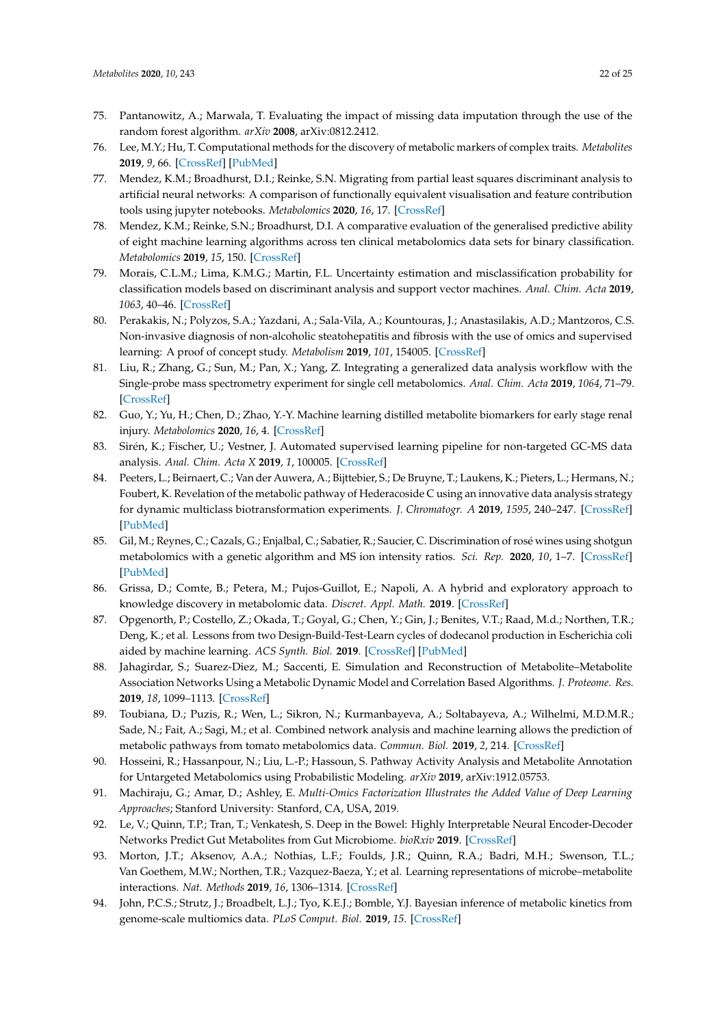- 75. Pantanowitz, A.; Marwala, T. Evaluating the impact of missing data imputation through the use of the random forest algorithm. *arXiv* **2008**, arXiv:0812.2412.
- 76. Lee, M.Y.; Hu, T. Computational methods for the discovery of metabolic markers of complex traits. *Metabolites* **2019**, *9*, 66. [CrossRef] [PubMed]
- 77. Mendez, K.M.; Broadhurst, D.I.; Reinke, S.N. Migrating from partial least squares discriminant analysis to artificial neural networks: A comparison of functionally equivalent visualisation and feature contribution tools using jupyter notebooks. *Metabolomics* **2020**, *16*, 17. [CrossRef]
- 78. Mendez, K.M.; Reinke, S.N.; Broadhurst, D.I. A comparative evaluation of the generalised predictive ability of eight machine learning algorithms across ten clinical metabolomics data sets for binary classification. *Metabolomics* **2019**, *15*, 150. [CrossRef]
- 79. Morais, C.L.M.; Lima, K.M.G.; Martin, F.L. Uncertainty estimation and misclassification probability for classification models based on discriminant analysis and support vector machines. *Anal. Chim. Acta* **2019**, *1063*, 40–46. [CrossRef]
- 80. Perakakis, N.; Polyzos, S.A.; Yazdani, A.; Sala-Vila, A.; Kountouras, J.; Anastasilakis, A.D.; Mantzoros, C.S. Non-invasive diagnosis of non-alcoholic steatohepatitis and fibrosis with the use of omics and supervised learning: A proof of concept study. *Metabolism* **2019**, *101*, 154005. [CrossRef]
- 81. Liu, R.; Zhang, G.; Sun, M.; Pan, X.; Yang, Z. Integrating a generalized data analysis workflow with the Single-probe mass spectrometry experiment for single cell metabolomics. *Anal. Chim. Acta* **2019**, *1064*, 71–79. [CrossRef]
- 82. Guo, Y.; Yu, H.; Chen, D.; Zhao, Y.-Y. Machine learning distilled metabolite biomarkers for early stage renal injury. *Metabolomics* **2020**, *16*, 4. [CrossRef]
- 83. Sirén, K.; Fischer, U.; Vestner, J. Automated supervised learning pipeline for non-targeted GC-MS data analysis. *Anal. Chim. Acta X* **2019**, *1*, 100005. [CrossRef]
- 84. Peeters, L.; Beirnaert, C.; Van der Auwera, A.; Bijttebier, S.; De Bruyne, T.; Laukens, K.; Pieters, L.; Hermans, N.; Foubert, K. Revelation of the metabolic pathway of Hederacoside C using an innovative data analysis strategy for dynamic multiclass biotransformation experiments. *J. Chromatogr. A* **2019**, *1595*, 240–247. [CrossRef] [PubMed]
- 85. Gil, M.; Reynes, C.; Cazals, G.; Enjalbal, C.; Sabatier, R.; Saucier, C. Discrimination of rosé wines using shotgun metabolomics with a genetic algorithm and MS ion intensity ratios. *Sci. Rep.* **2020**, *10*, 1–7. [CrossRef] [PubMed]
- 86. Grissa, D.; Comte, B.; Petera, M.; Pujos-Guillot, E.; Napoli, A. A hybrid and exploratory approach to knowledge discovery in metabolomic data. *Discret. Appl. Math.* **2019**. [CrossRef]
- 87. Opgenorth, P.; Costello, Z.; Okada, T.; Goyal, G.; Chen, Y.; Gin, J.; Benites, V.T.; Raad, M.d.; Northen, T.R.; Deng, K.; et al. Lessons from two Design-Build-Test-Learn cycles of dodecanol production in Escherichia coli aided by machine learning. *ACS Synth. Biol.* **2019**. [CrossRef] [PubMed]
- 88. Jahagirdar, S.; Suarez-Diez, M.; Saccenti, E. Simulation and Reconstruction of Metabolite–Metabolite Association Networks Using a Metabolic Dynamic Model and Correlation Based Algorithms. *J. Proteome. Res.* **2019**, *18*, 1099–1113. [CrossRef]
- 89. Toubiana, D.; Puzis, R.; Wen, L.; Sikron, N.; Kurmanbayeva, A.; Soltabayeva, A.; Wilhelmi, M.D.M.R.; Sade, N.; Fait, A.; Sagi, M.; et al. Combined network analysis and machine learning allows the prediction of metabolic pathways from tomato metabolomics data. *Commun. Biol.* **2019**, *2*, 214. [CrossRef]
- 90. Hosseini, R.; Hassanpour, N.; Liu, L.-P.; Hassoun, S. Pathway Activity Analysis and Metabolite Annotation for Untargeted Metabolomics using Probabilistic Modeling. *arXiv* **2019**, arXiv:1912.05753.
- 91. Machiraju, G.; Amar, D.; Ashley, E. *Multi-Omics Factorization Illustrates the Added Value of Deep Learning Approaches*; Stanford University: Stanford, CA, USA, 2019.
- 92. Le, V.; Quinn, T.P.; Tran, T.; Venkatesh, S. Deep in the Bowel: Highly Interpretable Neural Encoder-Decoder Networks Predict Gut Metabolites from Gut Microbiome. *bioRxiv* **2019**. [CrossRef]
- 93. Morton, J.T.; Aksenov, A.A.; Nothias, L.F.; Foulds, J.R.; Quinn, R.A.; Badri, M.H.; Swenson, T.L.; Van Goethem, M.W.; Northen, T.R.; Vazquez-Baeza, Y.; et al. Learning representations of microbe–metabolite interactions. *Nat. Methods* **2019**, *16*, 1306–1314. [CrossRef]
- 94. John, P.C.S.; Strutz, J.; Broadbelt, L.J.; Tyo, K.E.J.; Bomble, Y.J. Bayesian inference of metabolic kinetics from genome-scale multiomics data. *PLoS Comput. Biol.* **2019**, *15*. [CrossRef]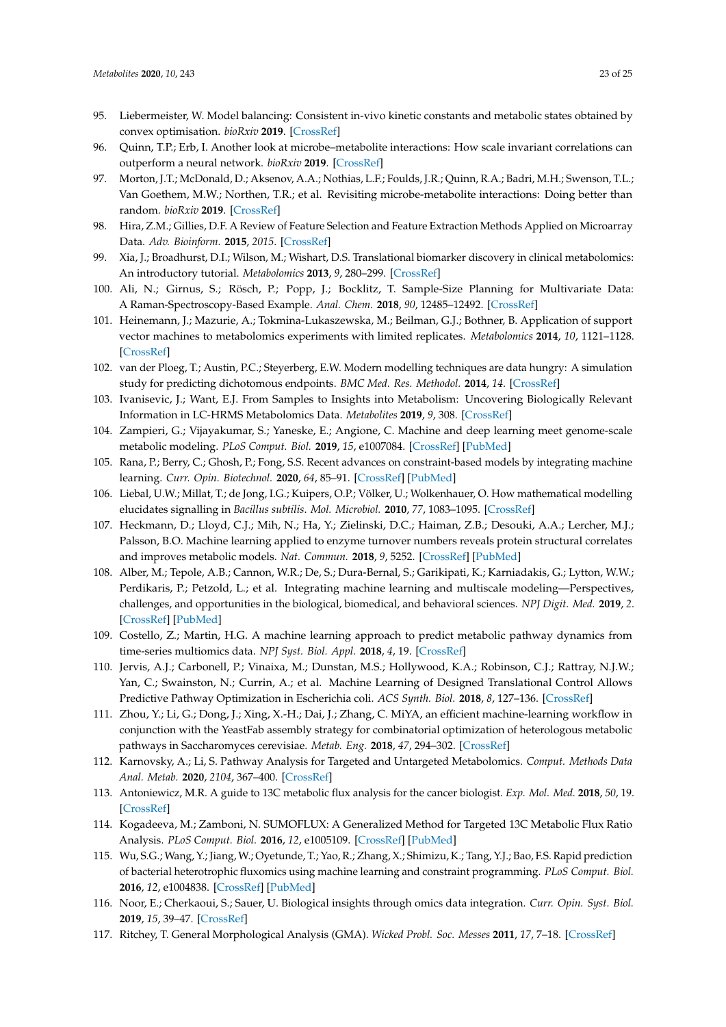- 95. Liebermeister, W. Model balancing: Consistent in-vivo kinetic constants and metabolic states obtained by convex optimisation. *bioRxiv* **2019**. [CrossRef]
- 96. Quinn, T.P.; Erb, I. Another look at microbe–metabolite interactions: How scale invariant correlations can outperform a neural network. *bioRxiv* **2019**. [CrossRef]
- 97. Morton, J.T.; McDonald, D.; Aksenov, A.A.; Nothias, L.F.; Foulds, J.R.; Quinn, R.A.; Badri, M.H.; Swenson, T.L.; Van Goethem, M.W.; Northen, T.R.; et al. Revisiting microbe-metabolite interactions: Doing better than random. *bioRxiv* **2019**. [CrossRef]
- 98. Hira, Z.M.; Gillies, D.F. A Review of Feature Selection and Feature Extraction Methods Applied on Microarray Data. *Adv. Bioinform.* **2015**, *2015*. [CrossRef]
- 99. Xia, J.; Broadhurst, D.I.; Wilson, M.; Wishart, D.S. Translational biomarker discovery in clinical metabolomics: An introductory tutorial. *Metabolomics* **2013**, *9*, 280–299. [CrossRef]
- 100. Ali, N.; Girnus, S.; Rösch, P.; Popp, J.; Bocklitz, T. Sample-Size Planning for Multivariate Data: A Raman-Spectroscopy-Based Example. *Anal. Chem.* **2018**, *90*, 12485–12492. [CrossRef]
- 101. Heinemann, J.; Mazurie, A.; Tokmina-Lukaszewska, M.; Beilman, G.J.; Bothner, B. Application of support vector machines to metabolomics experiments with limited replicates. *Metabolomics* **2014**, *10*, 1121–1128. [CrossRef]
- 102. van der Ploeg, T.; Austin, P.C.; Steyerberg, E.W. Modern modelling techniques are data hungry: A simulation study for predicting dichotomous endpoints. *BMC Med. Res. Methodol.* **2014**, *14*. [CrossRef]
- 103. Ivanisevic, J.; Want, E.J. From Samples to Insights into Metabolism: Uncovering Biologically Relevant Information in LC-HRMS Metabolomics Data. *Metabolites* **2019**, *9*, 308. [CrossRef]
- 104. Zampieri, G.; Vijayakumar, S.; Yaneske, E.; Angione, C. Machine and deep learning meet genome-scale metabolic modeling. *PLoS Comput. Biol.* **2019**, *15*, e1007084. [CrossRef] [PubMed]
- 105. Rana, P.; Berry, C.; Ghosh, P.; Fong, S.S. Recent advances on constraint-based models by integrating machine learning. *Curr. Opin. Biotechnol.* **2020**, *64*, 85–91. [CrossRef] [PubMed]
- 106. Liebal, U.W.; Millat, T.; de Jong, I.G.; Kuipers, O.P.; Völker, U.; Wolkenhauer, O. How mathematical modelling elucidates signalling in *Bacillus subtilis*. *Mol. Microbiol.* **2010**, *77*, 1083–1095. [CrossRef]
- 107. Heckmann, D.; Lloyd, C.J.; Mih, N.; Ha, Y.; Zielinski, D.C.; Haiman, Z.B.; Desouki, A.A.; Lercher, M.J.; Palsson, B.O. Machine learning applied to enzyme turnover numbers reveals protein structural correlates and improves metabolic models. *Nat. Commun.* **2018**, *9*, 5252. [CrossRef] [PubMed]
- 108. Alber, M.; Tepole, A.B.; Cannon, W.R.; De, S.; Dura-Bernal, S.; Garikipati, K.; Karniadakis, G.; Lytton, W.W.; Perdikaris, P.; Petzold, L.; et al. Integrating machine learning and multiscale modeling—Perspectives, challenges, and opportunities in the biological, biomedical, and behavioral sciences. *NPJ Digit. Med.* **2019**, *2*. [CrossRef] [PubMed]
- 109. Costello, Z.; Martin, H.G. A machine learning approach to predict metabolic pathway dynamics from time-series multiomics data. *NPJ Syst. Biol. Appl.* **2018**, *4*, 19. [CrossRef]
- 110. Jervis, A.J.; Carbonell, P.; Vinaixa, M.; Dunstan, M.S.; Hollywood, K.A.; Robinson, C.J.; Rattray, N.J.W.; Yan, C.; Swainston, N.; Currin, A.; et al. Machine Learning of Designed Translational Control Allows Predictive Pathway Optimization in Escherichia coli. *ACS Synth. Biol.* **2018**, *8*, 127–136. [CrossRef]
- 111. Zhou, Y.; Li, G.; Dong, J.; Xing, X.-H.; Dai, J.; Zhang, C. MiYA, an efficient machine-learning workflow in conjunction with the YeastFab assembly strategy for combinatorial optimization of heterologous metabolic pathways in Saccharomyces cerevisiae. *Metab. Eng.* **2018**, *47*, 294–302. [CrossRef]
- 112. Karnovsky, A.; Li, S. Pathway Analysis for Targeted and Untargeted Metabolomics. *Comput. Methods Data Anal. Metab.* **2020**, *2104*, 367–400. [CrossRef]
- 113. Antoniewicz, M.R. A guide to 13C metabolic flux analysis for the cancer biologist. *Exp. Mol. Med.* **2018**, *50*, 19. [CrossRef]
- 114. Kogadeeva, M.; Zamboni, N. SUMOFLUX: A Generalized Method for Targeted 13C Metabolic Flux Ratio Analysis. *PLoS Comput. Biol.* **2016**, *12*, e1005109. [CrossRef] [PubMed]
- 115. Wu, S.G.; Wang, Y.; Jiang, W.; Oyetunde, T.; Yao, R.; Zhang, X.; Shimizu, K.; Tang, Y.J.; Bao, F.S. Rapid prediction of bacterial heterotrophic fluxomics using machine learning and constraint programming. *PLoS Comput. Biol.* **2016**, *12*, e1004838. [CrossRef] [PubMed]
- 116. Noor, E.; Cherkaoui, S.; Sauer, U. Biological insights through omics data integration. *Curr. Opin. Syst. Biol.* **2019**, *15*, 39–47. [CrossRef]
- 117. Ritchey, T. General Morphological Analysis (GMA). *Wicked Probl. Soc. Messes* **2011**, *17*, 7–18. [CrossRef]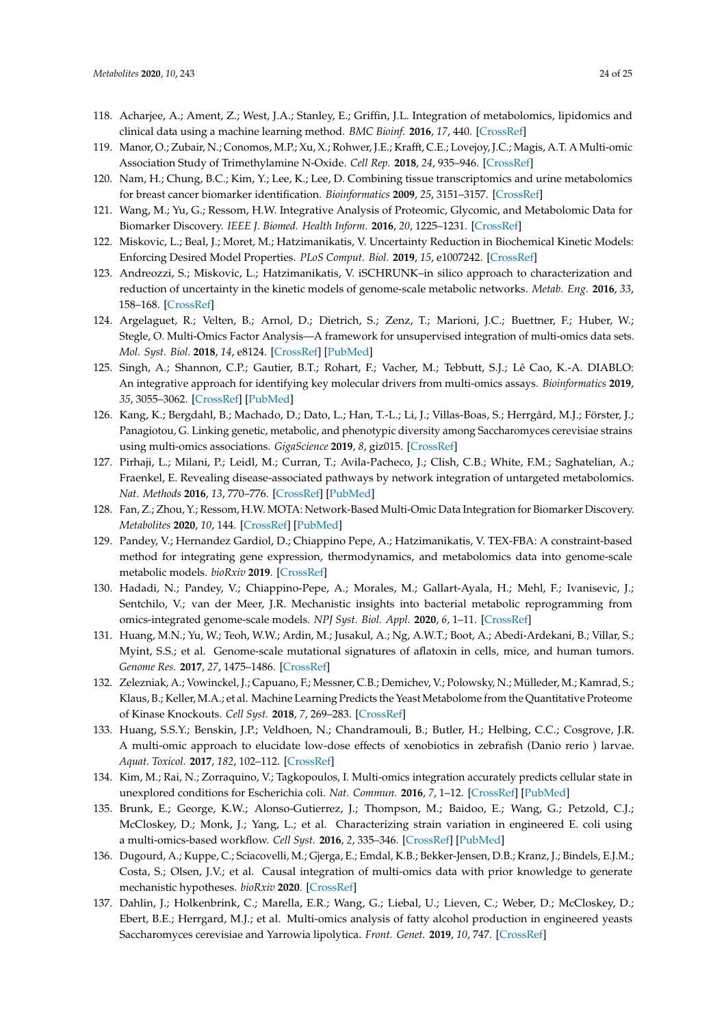- 118. Acharjee, A.; Ament, Z.; West, J.A.; Stanley, E.; Griffin, J.L. Integration of metabolomics, lipidomics and clinical data using a machine learning method. *BMC Bioinf.* **2016**, *17*, 440. [CrossRef]
- 119. Manor, O.; Zubair, N.; Conomos, M.P.; Xu, X.; Rohwer, J.E.; Krafft, C.E.; Lovejoy, J.C.; Magis, A.T. A Multi-omic Association Study of Trimethylamine N-Oxide. *Cell Rep.* **2018**, *24*, 935–946. [CrossRef]
- 120. Nam, H.; Chung, B.C.; Kim, Y.; Lee, K.; Lee, D. Combining tissue transcriptomics and urine metabolomics for breast cancer biomarker identification. *Bioinformatics* **2009**, *25*, 3151–3157. [CrossRef]
- 121. Wang, M.; Yu, G.; Ressom, H.W. Integrative Analysis of Proteomic, Glycomic, and Metabolomic Data for Biomarker Discovery. *IEEE J. Biomed. Health Inform.* **2016**, *20*, 1225–1231. [CrossRef]
- 122. Miskovic, L.; Beal, J.; Moret, M.; Hatzimanikatis, V. Uncertainty Reduction in Biochemical Kinetic Models: Enforcing Desired Model Properties. *PLoS Comput. Biol.* **2019**, *15*, e1007242. [CrossRef]
- 123. Andreozzi, S.; Miskovic, L.; Hatzimanikatis, V. iSCHRUNK–in silico approach to characterization and reduction of uncertainty in the kinetic models of genome-scale metabolic networks. *Metab. Eng.* **2016**, *33*, 158–168. [CrossRef]
- 124. Argelaguet, R.; Velten, B.; Arnol, D.; Dietrich, S.; Zenz, T.; Marioni, J.C.; Buettner, F.; Huber, W.; Stegle, O. Multi-Omics Factor Analysis—A framework for unsupervised integration of multi-omics data sets. *Mol. Syst. Biol.* **2018**, *14*, e8124. [CrossRef] [PubMed]
- 125. Singh, A.; Shannon, C.P.; Gautier, B.T.; Rohart, F.; Vacher, M.; Tebbutt, S.J.; Lê Cao, K.-A. DIABLO: An integrative approach for identifying key molecular drivers from multi-omics assays. *Bioinformatics* **2019**, *35*, 3055–3062. [CrossRef] [PubMed]
- 126. Kang, K.; Bergdahl, B.; Machado, D.; Dato, L.; Han, T.-L.; Li, J.; Villas-Boas, S.; Herrgård, M.J.; Förster, J.; Panagiotou, G. Linking genetic, metabolic, and phenotypic diversity among Saccharomyces cerevisiae strains using multi-omics associations. *GigaScience* **2019**, *8*, giz015. [CrossRef]
- 127. Pirhaji, L.; Milani, P.; Leidl, M.; Curran, T.; Avila-Pacheco, J.; Clish, C.B.; White, F.M.; Saghatelian, A.; Fraenkel, E. Revealing disease-associated pathways by network integration of untargeted metabolomics. *Nat. Methods* **2016**, *13*, 770–776. [CrossRef] [PubMed]
- 128. Fan, Z.; Zhou, Y.; Ressom, H.W. MOTA: Network-Based Multi-Omic Data Integration for Biomarker Discovery. *Metabolites* **2020**, *10*, 144. [CrossRef] [PubMed]
- 129. Pandey, V.; Hernandez Gardiol, D.; Chiappino Pepe, A.; Hatzimanikatis, V. TEX-FBA: A constraint-based method for integrating gene expression, thermodynamics, and metabolomics data into genome-scale metabolic models. *bioRxiv* **2019**. [CrossRef]
- 130. Hadadi, N.; Pandey, V.; Chiappino-Pepe, A.; Morales, M.; Gallart-Ayala, H.; Mehl, F.; Ivanisevic, J.; Sentchilo, V.; van der Meer, J.R. Mechanistic insights into bacterial metabolic reprogramming from omics-integrated genome-scale models. *NPJ Syst. Biol. Appl.* **2020**, *6*, 1–11. [CrossRef]
- 131. Huang, M.N.; Yu, W.; Teoh, W.W.; Ardin, M.; Jusakul, A.; Ng, A.W.T.; Boot, A.; Abedi-Ardekani, B.; Villar, S.; Myint, S.S.; et al. Genome-scale mutational signatures of aflatoxin in cells, mice, and human tumors. *Genome Res.* **2017**, *27*, 1475–1486. [CrossRef]
- 132. Zelezniak, A.; Vowinckel, J.; Capuano, F.; Messner, C.B.; Demichev, V.; Polowsky, N.; Mülleder, M.; Kamrad, S.; Klaus, B.; Keller, M.A.; et al. Machine Learning Predicts the Yeast Metabolome from the Quantitative Proteome of Kinase Knockouts. *Cell Syst.* **2018**, *7*, 269–283. [CrossRef]
- 133. Huang, S.S.Y.; Benskin, J.P.; Veldhoen, N.; Chandramouli, B.; Butler, H.; Helbing, C.C.; Cosgrove, J.R. A multi-omic approach to elucidate low-dose effects of xenobiotics in zebrafish (Danio rerio ) larvae. *Aquat. Toxicol.* **2017**, *182*, 102–112. [CrossRef]
- 134. Kim, M.; Rai, N.; Zorraquino, V.; Tagkopoulos, I. Multi-omics integration accurately predicts cellular state in unexplored conditions for Escherichia coli. *Nat. Commun.* **2016**, *7*, 1–12. [CrossRef] [PubMed]
- 135. Brunk, E.; George, K.W.; Alonso-Gutierrez, J.; Thompson, M.; Baidoo, E.; Wang, G.; Petzold, C.J.; McCloskey, D.; Monk, J.; Yang, L.; et al. Characterizing strain variation in engineered E. coli using a multi-omics-based workflow. *Cell Syst.* **2016**, *2*, 335–346. [CrossRef] [PubMed]
- 136. Dugourd, A.; Kuppe, C.; Sciacovelli, M.; Gjerga, E.; Emdal, K.B.; Bekker-Jensen, D.B.; Kranz, J.; Bindels, E.J.M.; Costa, S.; Olsen, J.V.; et al. Causal integration of multi-omics data with prior knowledge to generate mechanistic hypotheses. *bioRxiv* **2020**. [CrossRef]
- 137. Dahlin, J.; Holkenbrink, C.; Marella, E.R.; Wang, G.; Liebal, U.; Lieven, C.; Weber, D.; McCloskey, D.; Ebert, B.E.; Herrgard, M.J.; et al. Multi-omics analysis of fatty alcohol production in engineered yeasts Saccharomyces cerevisiae and Yarrowia lipolytica. *Front. Genet.* **2019**, *10*, 747. [CrossRef]